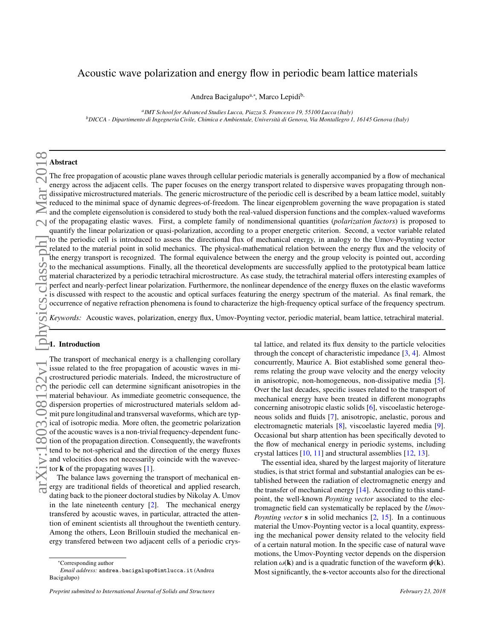# Acoustic wave polarization and energy flow in periodic beam lattice materials

Andrea Bacigalupo<sup>a,∗</sup>, Marco Lepidi<sup>b,</sup>

<sup>a</sup> IMT School for Advanced Studies Lucca, Piazza S. Francesco 19, 55100 Lucca (Italy)  $b$ DICCA - Dipartimento di Ingegneria Civile, Chimica e Ambientale, Università di Genova, Via Montallegro 1, 16145 Genova (Italy)

## Abstract

The free propagation of acoustic plane waves through cellular periodic materials is generally accompanied by a flow of mechanical energy across the adjacent cells. The paper focuses on the energy transport related to dispersive waves propagating through nondissipative microstructured materials. The generic microstructure of the periodic cell is described by a beam lattice model, suitably reduced to the minimal space of dynamic degrees-of-freedom. The linear eigenproblem governing the wave propagation is stated and the complete eigensolution is considered to study both the real-valued dispersion functions and the complex-valued waveforms of the propagating elastic waves. First, a complete family of nondimensional quantities (polarization factors) is proposed to quantify the linear polarization or quasi-polarization, according to a proper energetic criterion. Second, a vector variable related to the periodic cell is introduced to assess the directional flux of mechanical energy, in analogy to the Umov-Poynting vector related to the material point in solid mechanics. The physical-mathematical relation between the energy flux and the velocity of the energy transport is recognized. The formal equivalence between the energy and the group velocity is pointed out, according to the mechanical assumptions. Finally, all the theoretical developments are successfully applied to the prototypical beam lattice  $\tilde{C}$  of the mechanical assumptions. Finally, all the theoretical developments are successiumly applied to the prototypical beam lattice  $\tilde{C}$  material characterized by a periodic tetrachiral microstructure. As case perfect and nearly-perfect linear polarization. Furthermore, the nonlinear dependence of the energy fluxes on the elastic waveforms is discussed with respect to the acoustic and optical surfaces featuring the energy spectrum of the material. As final remark, the occurrence of negative refraction phenomena is found to characterize the high-frequency optical surface of the frequency spectrum. 22. The respective of submitted to Internation and Structures February 23, 2018 and Structures February 23, 2018 and 2018 are the submitted to International Accounts and 2018 are the submitted to International Accounts a

Keywords: Acoustic waves, polarization, energy flux, Umov-Poynting vector, periodic material, beam lattice, tetrachiral material.

# $\Box$ 1. Introduction

The transport of mechanical energy is a challenging corollary issue related to the free propagation of acoustic waves in mi- $\bigcirc$  crostructured periodic materials. Indeed, the microstructure of  $\sim$  the periodic cell can determine significant anisotropies in the material behaviour. As immediate geometric consequence, the  $\infty$  dispersion properties of microstructured materials seldom admit pure longitudinal and transversal waveforms, which are typ- $\cap$  ical of isotropic media. More often, the geometric polarization of the acoustic waves is a non-trivial frequency-dependent func- $\infty$  tion of the propagation direction. Consequently, the wavefronts tend to be not-spherical and the direction of the energy fluxes  $\geq$  and velocities does not necessarily coincide with the wavevector k of the propagating waves [1].

The balance laws governing the transport of mechanical en- $\sum_{n=1}^{\infty}$  ergy are traditional fields of theoretical and applied research, dating back to the pioneer doctoral studies by Nikolay A. Umov in the late nineteenth century [2]. The mechanical energy transfered by acoustic waves, in particular, attracted the attention of eminent scientists all throughout the twentieth century. Among the others, Leon Brillouin studied the mechanical energy transfered between two adjacent cells of a periodic crystal lattice, and related its flux density to the particle velocities through the concept of characteristic impedance [3, 4]. Almost concurrently, Maurice A. Biot established some general theorems relating the group wave velocity and the energy velocity in anisotropic, non-homogeneous, non-dissipative media [5]. Over the last decades, specific issues related to the transport of mechanical energy have been treated in different monographs concerning anisotropic elastic solids [6], viscoelastic heterogeneous solids and fluids [7], anisotropic, anelastic, porous and electromagnetic materials [8], viscoelastic layered media [9]. Occasional but sharp attention has been specifically devoted to the flow of mechanical energy in periodic systems, including crystal lattices [10, 11] and structural assemblies [12, 13].

The essential idea, shared by the largest majority of literature studies, is that strict formal and substantial analogies can be established between the radiation of electromagnetic energy and the transfer of mechanical energy [14]. According to this standpoint, the well-known *Poynting vector* associated to the electromagnetic field can systematically be replaced by the Umov-*Poynting vector* **s** in solid mechanics  $[2, 15]$ . In a continuous material the Umov-Poynting vector is a local quantity, expressing the mechanical power density related to the velocity field of a certain natural motion. In the specific case of natural wave motions, the Umov-Poynting vector depends on the dispersion relation  $\omega(\mathbf{k})$  and is a quadratic function of the waveform  $\psi(\mathbf{k})$ . Most significantly, the s-vector accounts also for the directional

<sup>∗</sup>Corresponding author

Email address: andrea.bacigalupo@imtlucca.it (Andrea Bacigalupo)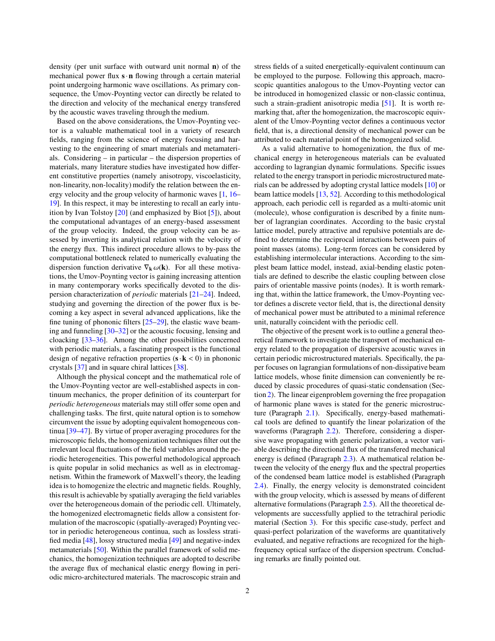density (per unit surface with outward unit normal n) of the mechanical power flux  $\mathbf{s} \cdot \mathbf{n}$  flowing through a certain material point undergoing harmonic wave oscillations. As primary consequence, the Umov-Poynting vector can directly be related to the direction and velocity of the mechanical energy transfered by the acoustic waves traveling through the medium.

Based on the above considerations, the Umov-Poynting vector is a valuable mathematical tool in a variety of research fields, ranging from the science of energy focusing and harvesting to the engineering of smart materials and metamaterials. Considering – in particular – the dispersion properties of materials, many literature studies have investigated how different constitutive properties (namely anisotropy, viscoelasticity, non-linearity, non-locality) modify the relation between the energy velocity and the group velocity of harmonic waves [1, 16– 19]. In this respect, it may be interesting to recall an early intuition by Ivan Tolstoy  $[20]$  (and emphasized by Biot  $[5]$ ), about the computational advantages of an energy-based assessment of the group velocity. Indeed, the group velocity can be assessed by inverting its analytical relation with the velocity of the energy flux. This indirect procedure allows to by-pass the computational bottleneck related to numerically evaluating the dispersion function derivative  $\nabla_{\mathbf{k}} \omega(\mathbf{k})$ . For all these motivations, the Umov-Poynting vector is gaining increasing attention in many contemporary works specifically devoted to the dispersion characterization of periodic materials [21–24]. Indeed, studying and governing the direction of the power flux is becoming a key aspect in several advanced applications, like the fine tuning of phononic filters [25–29], the elastic wave beaming and funneling [30–32] or the acoustic focusing, lensing and cloacking [33–36]. Among the other possibilities concerned with periodic materials, a fascinating prospect is the functional design of negative refraction properties  $(s \cdot k < 0)$  in phononic crystals [37] and in square chiral lattices [38].

Although the physical concept and the mathematical role of the Umov-Poynting vector are well-established aspects in continuum mechanics, the proper definition of its counterpart for periodic heterogeneous materials may still offer some open and challenging tasks. The first, quite natural option is to somehow circumvent the issue by adopting equivalent homogeneous continua [39–47]. By virtue of proper averaging procedures for the microscopic fields, the homogenization techniques filter out the irrelevant local fluctuations of the field variables around the periodic heterogeneities. This powerful methodological approach is quite popular in solid mechanics as well as in electromagnetism. Within the framework of Maxwell's theory, the leading idea is to homogenize the electric and magnetic fields. Roughly, this result is achievable by spatially averaging the field variables over the heterogeneous domain of the periodic cell. Ultimately, the homogenized electromagnetic fields allow a consistent formulation of the macroscopic (spatially-averaged) Poynting vector in periodic heterogeneous continua, such as lossless stratified media [48], lossy structured media [49] and negative-index metamaterials [50]. Within the parallel framework of solid mechanics, the homogenization techniques are adopted to describe the average flux of mechanical elastic energy flowing in periodic micro-architectured materials. The macroscopic strain and

stress fields of a suited energetically-equivalent continuum can be employed to the purpose. Following this approach, macroscopic quantities analogous to the Umov-Poynting vector can be introduced in homogenized classic or non-classic continua, such a strain-gradient anisotropic media [51]. It is worth remarking that, after the homogenization, the macroscopic equivalent of the Umov-Poynting vector defines a continuous vector field, that is, a directional density of mechanical power can be attributed to each material point of the homogenized solid.

As a valid alternative to homogenization, the flux of mechanical energy in heterogeneous materials can be evaluated according to lagrangian dynamic formulations. Specific issues related to the energy transport in periodic microstructured materials can be addressed by adopting crystal lattice models [10] or beam lattice models [13, 52]. According to this methodological approach, each periodic cell is regarded as a multi-atomic unit (molecule), whose configuration is described by a finite number of lagrangian coordinates. According to the basic crystal lattice model, purely attractive and repulsive potentials are defined to determine the reciprocal interactions between pairs of point masses (atoms). Long-term forces can be considered by establishing intermolecular interactions. According to the simplest beam lattice model, instead, axial-bending elastic potentials are defined to describe the elastic coupling between close pairs of orientable massive points (nodes). It is worth remarking that, within the lattice framework, the Umov-Poynting vector defines a discrete vector field, that is, the directional density of mechanical power must be attributed to a minimal reference unit, naturally coincident with the periodic cell.

The objective of the present work is to outline a general theoretical framework to investigate the transport of mechanical energy related to the propagation of dispersive acoustic waves in certain periodic microstructured materials. Specifically, the paper focuses on lagrangian formulations of non-dissipative beam lattice models, whose finite dimension can conveniently be reduced by classic procedures of quasi-static condensation (Section 2). The linear eigenproblem governing the free propagation of harmonic plane waves is stated for the generic microstructure (Paragraph 2.1). Specifically, energy-based mathematical tools are defined to quantify the linear polarization of the waveforms (Paragraph 2.2). Therefore, considering a dispersive wave propagating with generic polarization, a vector variable describing the directional flux of the transfered mechanical energy is defined (Paragraph 2.3). A mathematical relation between the velocity of the energy flux and the spectral properties of the condensed beam lattice model is established (Paragraph 2.4). Finally, the energy velocity is demonstrated coincident with the group velocity, which is assessed by means of different alternative formulations (Paragraph 2.5). All the theoretical developments are successfully applied to the tetrachiral periodic material (Section 3). For this specific case-study, perfect and quasi-perfect polarization of the waveforms are quantitatively evaluated, and negative refractions are recognized for the highfrequency optical surface of the dispersion spectrum. Concluding remarks are finally pointed out.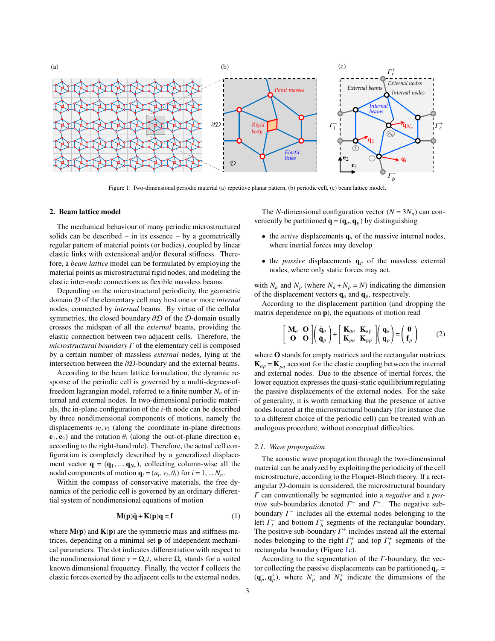

Figure 1: Two-dimensional periodic material (a) repetitive planar pattern, (b) periodic cell, (c) beam lattice model.

## 2. Beam lattice model

The mechanical behaviour of many periodic microstructured solids can be described  $-$  in its essence  $-$  by a geometrically regular pattern of material points (or bodies), coupled by linear elastic links with extensional and/or flexural stiffness. Therefore, a beam lattice model can be formulated by employing the material points as microstructural rigid nodes, and modeling the elastic inter-node connections as flexible massless beams.

Depending on the microstructural periodicity, the geometric domain  $D$  of the elementary cell may host one or more *internal* nodes, connected by internal beams. By virtue of the cellular symmetries, the closed boundary ∂D of the D-domain usually crosses the midspan of all the external beams, providing the elastic connection between two adjacent cells. Therefore, the microstructural boundary  $\Gamma$  of the elementary cell is composed by a certain number of massless external nodes, lying at the intersection between the ∂D-boundary and the external beams.

According to the beam lattice formulation, the dynamic response of the periodic cell is governed by a multi-degrees-offreedom lagrangian model, referred to a finite number  $N_n$  of internal and external nodes. In two-dimensional periodic materials, the in-plane configuration of the i-th node can be described by three nondimensional components of motions, namely the displacements  $u_i, v_i$  (along the coordinate in-plane directions  $e_1, e_2$ ) and the rotation  $\theta_i$  (along the out-of-plane direction  $e_3$ according to the right-hand rule). Therefore, the actual cell configuration is completely described by a generalized displacement vector  $\mathbf{q} = (\mathbf{q}_1, ..., \mathbf{q}_{N_n})$ , collecting column-wise all the nodal components of motion  $\mathbf{q}_i = (u_i, v_i, \theta_i)$  for  $i = 1, ..., N_n$ .

Within the compass of conservative materials, the free dynamics of the periodic cell is governed by an ordinary differential system of nondimensional equations of motion

$$
M(p)\ddot{q} + K(p)q = f \tag{1}
$$

where  $M(p)$  and  $K(p)$  are the symmetric mass and stiffness matrices, depending on a minimal set p of independent mechanical parameters. The dot indicates differentiation with respect to the nondimensional time  $\tau = \Omega_c t$ , where  $\Omega_c$  stands for a suited known dimensional frequency. Finally, the vector f collects the elastic forces exerted by the adjacent cells to the external nodes.

The N-dimensional configuration vector  $(N = 3N_n)$  can conveniently be partitioned  $\mathbf{q} = (\mathbf{q}_a, \mathbf{q}_p)$  by distinguishing

- the *active* displacements  $q_a$  of the massive internal nodes, where inertial forces may develop
- the *passive* displacements  $q_p$  of the massless external nodes, where only static forces may act.

with  $N_a$  and  $N_p$  (where  $N_a + N_p = N$ ) indicating the dimension of the displacement vectors  $\mathbf{q}_a$  and  $\mathbf{q}_p$ , respectively.

According to the displacement partition (and dropping the matrix dependence on p), the equations of motion read

$$
\begin{bmatrix} \mathbf{M}_a & \mathbf{O} \\ \mathbf{O} & \mathbf{O} \end{bmatrix} \begin{pmatrix} \ddot{\mathbf{q}}_a \\ \ddot{\mathbf{q}}_p \end{pmatrix} + \begin{bmatrix} \mathbf{K}_{aa} & \mathbf{K}_{ap} \\ \mathbf{K}_{pa} & \mathbf{K}_{pp} \end{bmatrix} \begin{pmatrix} \mathbf{q}_a \\ \mathbf{q}_p \end{pmatrix} = \begin{pmatrix} \mathbf{0} \\ \mathbf{f}_p \end{pmatrix} \tag{2}
$$

where O stands for empty matrices and the rectangular matrices  $\mathbf{K}_{ap} = \mathbf{K}_{pa}^{\top}$  account for the elastic coupling between the internal and external nodes. Due to the absence of inertial forces, the lower equation expresses the quasi-static equilibrium regulating the passive displacements of the external nodes. For the sake of generality, it is worth remarking that the presence of active nodes located at the microstructural boundary (for instance due to a different choice of the periodic cell) can be treated with an analogous procedure, without conceptual difficulties.

#### 2.1. Wave propagation

The acoustic wave propagation through the two-dimensional material can be analyzed by exploiting the periodicity of the cell microstructure, according to the Floquet-Bloch theory. If a rectangular D-domain is considered, the microstructural boundary  $\Gamma$  can conventionally be segmented into a *negative* and a *pos*itive sub-boundaries denoted  $\Gamma^-$  and  $\Gamma^+$ . The negative subboundary  $\Gamma^-$  includes all the external nodes belonging to the left  $\Gamma_l^-$  and bottom  $\Gamma_b^-$  segments of the rectangular boundary. The positive sub-boundary  $\Gamma^+$  includes instead all the external nodes belonging to the right  $\Gamma_r^+$  and top  $\Gamma_t^+$  segments of the rectangular boundary (Figure 1c).

According to the segmentation of the Γ-boundary, the vector collecting the passive displacements can be partitioned  $\mathbf{q}_p =$  $(q_p^-, q_p^+)$ , where  $N_p^-$  and  $N_p^+$  indicate the dimensions of the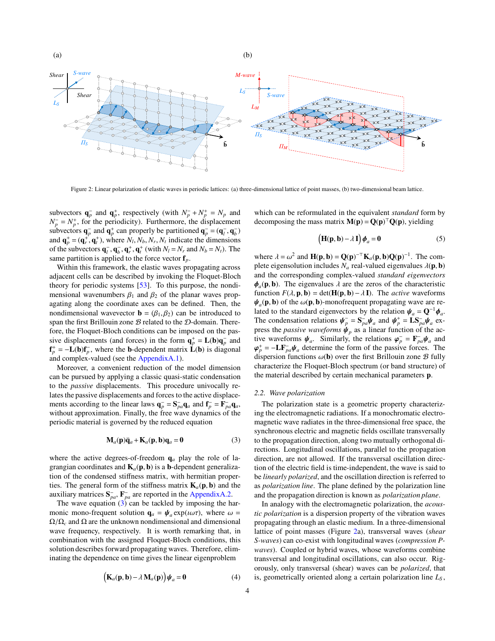

Figure 2: Linear polarization of elastic waves in periodic lattices: (a) three-dimensional lattice of point masses, (b) two-dimensional beam lattice.

subvectors  $\mathbf{q}_p^-$  and  $\mathbf{q}_p^+$ , respectively (with  $N_p^- + N_p^+ = N_p$  and  $N_p^- = N_p^+$ , for the periodicity). Furthermore, the displacement subvectors  $\mathbf{q}_p^-$  and  $\mathbf{q}_p^+$  can properly be partitioned  $\mathbf{q}_p^- = (\mathbf{q}_l^-,\mathbf{q}_b^-)$ and  $\mathbf{q}_p^+ = (\mathbf{q}_r^+, \mathbf{q}_t^+)$ , where  $N_l, N_b, N_r, N_t$  indicate the dimensions of the subvectors  $\mathbf{q}_l^-, \mathbf{q}_b^+, \mathbf{q}_r^+$  (with  $N_l = N_r$  and  $N_b = N_t$ ). The same partition is applied to the force vector  $f_p$ .

Within this framework, the elastic waves propagating across adjacent cells can be described by invoking the Floquet-Bloch theory for periodic systems [53]. To this purpose, the nondimensional wavenumbers  $\beta_1$  and  $\beta_2$  of the planar waves propagating along the coordinate axes can be defined. Then, the nondimensional wavevector  $\mathbf{b} = (\beta_1, \beta_2)$  can be introduced to span the first Brillouin zone  $\mathcal B$  related to the  $\mathcal D$ -domain. Therefore, the Floquet-Bloch conditions can be imposed on the passive displacements (and forces) in the form  $\mathbf{q}_p^+ = \mathbf{L}(\mathbf{b})\mathbf{q}_p^-$  and  $f_p^+ = -L(b)f_p^-$ , where the **b**-dependent matrix  $\dot{L}(b)$  is diagonal and complex-valued (see the AppendixA.1).

Moreover, a convenient reduction of the model dimension can be pursued by applying a classic quasi-static condensation to the passive displacements. This procedure univocally relates the passive displacements and forces to the active displacements according to the linear laws  $\mathbf{q}_p^- = \mathbf{S}_{pa}^- \mathbf{q}_a$  and  $\mathbf{f}_p^- = \mathbf{F}_{pa}^- \mathbf{q}_a$ , without approximation. Finally, the free wave dynamics of the periodic material is governed by the reduced equation

$$
\mathbf{M}_a(\mathbf{p})\ddot{\mathbf{q}}_a + \mathbf{K}_a(\mathbf{p}, \mathbf{b})\mathbf{q}_a = \mathbf{0}
$$
 (3)

where the active degrees-of-freedom  $q_a$  play the role of lagrangian coordinates and  $K_a(p, b)$  is a **b**-dependent generalization of the condensed stiffness matrix, with hermitian properties. The general form of the stiffness matrix  $K_a(p, b)$  and the auxiliary matrices  $S_{pa}^-$ ,  $F_{pa}^-$  are reported in the AppendixA.2.

The wave equation  $(3)$  can be tackled by imposing the harmonic mono-frequent solution  $\mathbf{q}_a = \mathbf{\psi}_a \exp(i\omega \tau)$ , where  $\omega =$  $\Omega/\Omega_c$  and  $\Omega$  are the unknown nondimensional and dimensional wave frequency, respectively. It is worth remarking that, in combination with the assigned Floquet-Bloch conditions, this solution describes forward propagating waves. Therefore, eliminating the dependence on time gives the linear eigenproblem

$$
(\mathbf{K}_a(\mathbf{p}, \mathbf{b}) - \lambda \mathbf{M}_a(\mathbf{p})) \psi_a = \mathbf{0}
$$
 (4)

which can be reformulated in the equivalent standard form by decomposing the mass matrix  $M(p) = Q(p)^T Q(p)$ , yielding

$$
\left(\mathbf{H}(\mathbf{p}, \mathbf{b}) - \lambda \mathbf{I}\right) \boldsymbol{\phi}_a = \mathbf{0} \tag{5}
$$

where  $\lambda = \omega^2$  and  $\mathbf{H}(\mathbf{p}, \mathbf{b}) = \mathbf{Q}(\mathbf{p})^{-T} \mathbf{K}_a(\mathbf{p}, \mathbf{b}) \mathbf{Q}(\mathbf{p})^{-1}$ . The complete eigensolution includes  $N_a$  real-valued eigenvalues  $\lambda(\mathbf{p}, \mathbf{b})$ and the corresponding complex-valued standard eigenvectors  $\phi_a(\mathbf{p}, \mathbf{b})$ . The eigenvalues  $\lambda$  are the zeros of the characteristic function  $F(\lambda, \mathbf{p}, \mathbf{b}) = \det(\mathbf{H}(\mathbf{p}, \mathbf{b}) - \lambda \mathbf{I})$ . The *active* waveforms  $\psi_a(\mathbf{p}, \mathbf{b})$  of the  $\omega(\mathbf{p}, \mathbf{b})$ -monofrequent propagating wave are related to the standard eigenvectors by the relation  $\psi_a = \mathbf{Q}^{-1} \phi_a$ . The condensation relations  $\psi_p^- = \mathbf{S}_{pa}^- \psi_a$  and  $\psi_p^+ = \mathbf{L} \mathbf{S}_{pa}^- \psi_a$  express the *passive waveforms*  $\psi_p$  as a linear function of the active waveforms  $\psi_a$ . Similarly, the relations  $\varphi_p^- = \mathbf{F}_{pa}^- \psi_a$  and  $\varphi_p^+ = -LF_{pa}^- \psi_a$  determine the form of the passive forces. The dispersion functions  $\omega(\mathbf{b})$  over the first Brillouin zone  $\mathcal{B}$  fully characterize the Floquet-Bloch spectrum (or band structure) of the material described by certain mechanical parameters p.

#### 2.2. Wave polarization

The polarization state is a geometric property characterizing the electromagnetic radiations. If a monochromatic electromagnetic wave radiates in the three-dimensional free space, the synchronous electric and magnetic fields oscillate transversally to the propagation direction, along two mutually orthogonal directions. Longitudinal oscillations, parallel to the propagation direction, are not allowed. If the transversal oscillation direction of the electric field is time-independent, the wave is said to be linearly polarized, and the oscillation direction is referred to as polarization line. The plane defined by the polarization line and the propagation direction is known as polarization plane.

In analogy with the electromagnetic polarization, the *acous*tic polarization is a dispersion property of the vibration waves propagating through an elastic medium. In a three-dimensional lattice of point masses (Figure 2a), transversal waves (shear S-waves) can co-exist with longitudinal waves (compression Pwaves). Coupled or hybrid waves, whose waveforms combine transversal and longitudinal oscillations, can also occur. Rigorously, only transversal (shear) waves can be polarized, that is, geometrically oriented along a certain polarization line  $L<sub>S</sub>$ ,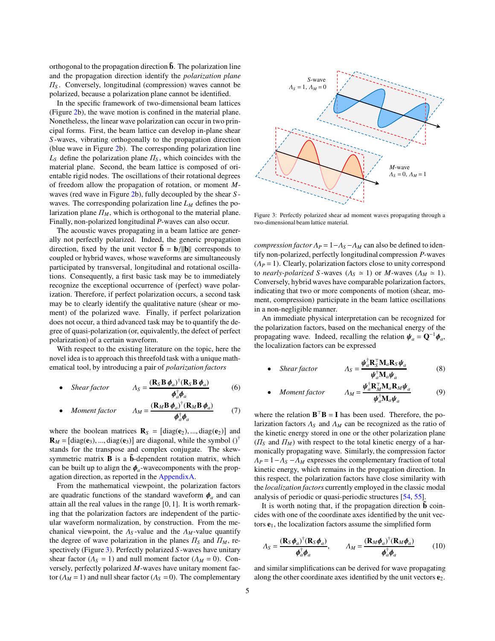orthogonal to the propagation direction  $\tilde{b}$ . The polarization line and the propagation direction identify the polarization plane  $\Pi_{\rm S}$ . Conversely, longitudinal (compression) waves cannot be polarized, because a polarization plane cannot be identified.

In the specific framework of two-dimensional beam lattices (Figure 2b), the wave motion is confined in the material plane. Nonetheless, the linear wave polarization can occur in two principal forms. First, the beam lattice can develop in-plane shear S -waves, vibrating orthogonally to the propagation direction (blue wave in Figure 2b). The corresponding polarization line  $L<sub>S</sub>$  define the polarization plane  $\Pi<sub>S</sub>$ , which coincides with the material plane. Second, the beam lattice is composed of orientable rigid nodes. The oscillations of their rotational degrees of freedom allow the propagation of rotation, or moment Mwaves (red wave in Figure 2b), fully decoupled by the shear Swaves. The corresponding polarization line  $L_M$  defines the polarization plane  $\Pi_M$ , which is orthogonal to the material plane. Finally, non-polarized longitudinal P-waves can also occur.

The acoustic waves propagating in a beam lattice are generally not perfectly polarized. Indeed, the generic propagation direction, fixed by the unit vector  $\tilde{\mathbf{b}} = \mathbf{b}/||\mathbf{b}||$  corresponds to coupled or hybrid waves, whose waveforms are simultaneously participated by transversal, longitudinal and rotational oscillations. Consequently, a first basic task may be to immediately recognize the exceptional occurrence of (perfect) wave polarization. Therefore, if perfect polarization occurs, a second task may be to clearly identify the qualitative nature (shear or moment) of the polarized wave. Finally, if perfect polarization does not occur, a third advanced task may be to quantify the degree of quasi-polarization (or, equivalently, the defect of perfect polarization) of a certain waveform.

With respect to the existing literature on the topic, here the novel idea is to approach this threefold task with a unique mathematical tool, by introducing a pair of polarization factors

• Shear factor 
$$
\Lambda_S = \frac{(\mathbf{R}_S \mathbf{B} \phi_a)^{\dagger} (\mathbf{R}_S \mathbf{B} \phi_a)}{\phi_a^{\dagger} \phi_a}
$$
(6)

• *Moment factor* 
$$
\Lambda_M = \frac{(\mathbf{R}_M \mathbf{B} \boldsymbol{\phi}_a)^{\dagger} (\mathbf{R}_M \mathbf{B} \boldsymbol{\phi}_a)}{\boldsymbol{\phi}_a^{\dagger} \boldsymbol{\phi}_a}
$$
(7)

where the boolean matrices  $\mathbf{R}_s = [\text{diag}(\mathbf{e}_2), ..., \text{diag}(\mathbf{e}_2)]$  and  $\mathbf{R}_M = [\text{diag}(\mathbf{e}_3), ..., \text{diag}(\mathbf{e}_3)]$  are diagonal, while the symbol  $()^{\dagger}$ stands for the transpose and complex conjugate. The skewsymmetric matrix  $\bf{B}$  is a **b**-dependent rotation matrix, which can be built up to align the  $\phi_a$ -wavecomponents with the propagation direction, as reported in the AppendixA.

From the mathematical viewpoint, the polarization factors are quadratic functions of the standard waveform  $\phi_a$  and can attain all the real values in the range [0, 1]. It is worth remarking that the polarization factors are independent of the particular waveform normalization, by construction. From the mechanical viewpoint, the  $\Lambda_s$ -value and the  $\Lambda_M$ -value quantify the degree of wave polarization in the planes  $\Pi_S$  and  $\Pi_M$ , respectively (Figure 3). Perfectly polarized  $S$ -waves have unitary shear factor ( $\Lambda_s = 1$ ) and null moment factor ( $\Lambda_M = 0$ ). Conversely, perfectly polarized M-waves have unitary moment factor ( $\Lambda_M$  = 1) and null shear factor ( $\Lambda_S$  = 0). The complementary



Figure 3: Perfectly polarized shear ad moment waves propagating through a two-dimensional beam lattice material.

compression factor  $\Lambda_P = 1 - \Lambda_S - \Lambda_M$  can also be defined to identify non-polarized, perfectly longitudinal compression P-waves  $(\Lambda_P = 1)$ . Clearly, polarization factors close to unity correspond to nearly-polarized S-waves ( $\Lambda_S \simeq 1$ ) or M-waves ( $\Lambda_M \simeq 1$ ). Conversely, hybrid waves have comparable polarization factors, indicating that two or more components of motion (shear, moment, compression) participate in the beam lattice oscillations in a non-negligible manner.

An immediate physical interpretation can be recognized for the polarization factors, based on the mechanical energy of the propagating wave. Indeed, recalling the relation  $\psi_a = \mathbf{Q}^{-1} \phi_a$ , the localization factors can be expressed

• Shear factor 
$$
\Lambda_S = \frac{\mathbf{\psi}_a^{\dagger} \mathbf{R}_S^{\dagger} \mathbf{M}_a \mathbf{R}_S \mathbf{\psi}_a}{\mathbf{\psi}_a^{\dagger} \mathbf{M}_a \mathbf{\psi}_a}
$$
(8)

• *Moment factor* 
$$
\Lambda_M = \frac{\psi_a^{\dagger} \mathbf{R}_M^{\top} \mathbf{M}_a \mathbf{R}_M \psi_a}{\psi_a^{\dagger} \mathbf{M}_a \psi_a}
$$
(9)

where the relation  $\mathbf{B}^\top \mathbf{B} = \mathbf{I}$  has been used. Therefore, the polarization factors  $\Lambda_s$  and  $\Lambda_M$  can be recognized as the ratio of the kinetic energy stored in one or the other polarization plane  $(\Pi_S$  and  $\Pi_M$ ) with respect to the total kinetic energy of a harmonically propagating wave. Similarly, the compression factor  $\Lambda_P = 1 - \Lambda_S - \Lambda_M$  expresses the complementary fraction of total kinetic energy, which remains in the propagation direction. In this respect, the polarization factors have close similarity with the localization factors currently employed in the classic modal analysis of periodic or quasi-periodic structures [54, 55].

It is worth noting that, if the propagation direction  $\hat{\mathbf{b}}$  coincides with one of the coordinate axes identified by the unit vectors  $e_1$ , the localization factors assume the simplified form

$$
A_S = \frac{(\mathbf{R}_S \boldsymbol{\phi}_a)^{\dagger} (\mathbf{R}_S \boldsymbol{\phi}_a)}{\boldsymbol{\phi}_a^{\dagger} \boldsymbol{\phi}_a}, \qquad A_M = \frac{(\mathbf{R}_M \boldsymbol{\phi}_a)^{\dagger} (\mathbf{R}_M \boldsymbol{\phi}_a)}{\boldsymbol{\phi}_a^{\dagger} \boldsymbol{\phi}_a} \tag{10}
$$

and similar simplifications can be derived for wave propagating along the other coordinate axes identified by the unit vectors  $e_2$ .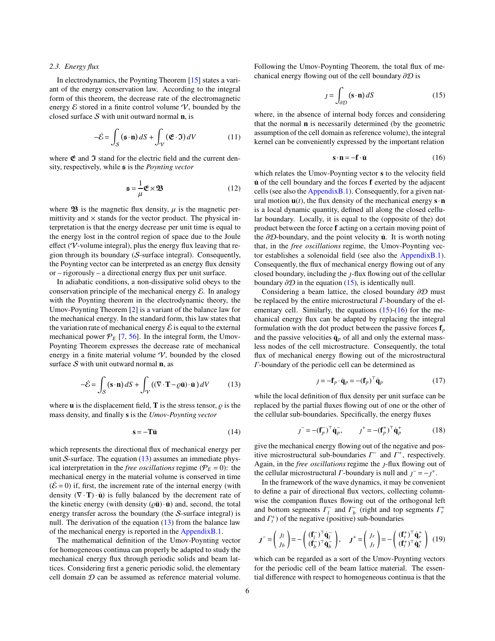## 2.3. Energy flux

In electrodynamics, the Poynting Theorem [15] states a variant of the energy conservation law. According to the integral form of this theorem, the decrease rate of the electromagnetic energy  $\mathcal E$  stored in a finite control volume  $\mathcal V$ , bounded by the closed surface  $S$  with unit outward normal  $n$ , is

$$
-\dot{\mathcal{E}} = \int_{\mathcal{S}} (\mathbf{s} \cdot \mathbf{n}) \, dS + \int_{\mathcal{V}} (\mathbf{\mathfrak{E}} \cdot \mathbf{\mathfrak{I}}) \, dV \tag{11}
$$

where  $\mathfrak{E}$  and  $\mathfrak{I}$  stand for the electric field and the current density, respectively, while  $\boldsymbol{s}$  is the *Poynting vector* 

$$
\mathfrak{s} = \frac{1}{\mu} \mathfrak{E} \times \mathfrak{B} \tag{12}
$$

where  $\mathfrak B$  is the magnetic flux density,  $\mu$  is the magnetic permittivity and  $\times$  stands for the vector product. The physical interpretation is that the energy decrease per unit time is equal to the energy lost in the control region of space due to the Joule effect ( $V$ -volume integral), plus the energy flux leaving that region through its boundary (S-surface integral). Consequently, the Poynting vector can be interpreted as an energy flux density or – rigorously – a directional energy flux per unit surface.

In adiabatic conditions, a non-dissipative solid obeys to the conservation principle of the mechanical energy  $\mathcal E$ . In analogy with the Poynting theorem in the electrodynamic theory, the Umov-Poynting Theorem [2] is a variant of the balance law for the mechanical energy. In the standard form, this law states that the variation rate of mechanical energy  $\dot{\mathcal{E}}$  is equal to the external mechanical power  $P_E$  [7, 56]. In the integral form, the Umov-Poynting Theorem expresses the decrease rate of mechanical energy in a finite material volume  $V$ , bounded by the closed surface  $S$  with unit outward normal  $n$ , as

$$
-\dot{\mathcal{E}} = \int_{\mathcal{S}} (\mathbf{s} \cdot \mathbf{n}) \, dS + \int_{\mathcal{V}} \left( (\nabla \cdot \mathbf{T} - \varrho \ddot{\mathbf{u}}) \cdot \dot{\mathbf{u}} \right) dV \tag{13}
$$

where **u** is the displacement field, **T** is the stress tensor,  $\rho$  is the mass density, and finally s is the Umov-Poynting vector

$$
s = -Tu \tag{14}
$$

which represents the directional flux of mechanical energy per unit S-surface. The equation  $(13)$  assumes an immediate physical interpretation in the *free oscillations* regime ( $P_E = 0$ ): the mechanical energy in the material volume is conserved in time  $(\mathcal{E} = 0)$  if, first, the increment rate of the internal energy (with density  $(\nabla \cdot \mathbf{T}) \cdot \dot{\mathbf{u}}$  is fully balanced by the decrement rate of the kinetic energy (with density  $(\rho \ddot{\mathbf{u}}) \cdot \dot{\mathbf{u}}$ ) and, second, the total energy transfer across the boundary (the  $S$ -surface integral) is null. The derivation of the equation  $(13)$  from the balance law of the mechanical energy is reported in the AppendixB.1.

The mathematical definition of the Umov-Poynting vector for homogeneous continua can properly be adapted to study the mechanical energy flux through periodic solids and beam lattices. Considering first a generic periodic solid, the elementary cell domain  $D$  can be assumed as reference material volume. Following the Umov-Poynting Theorem, the total flux of mechanical energy flowing out of the cell boundary ∂D is

$$
J = \int_{\partial \mathcal{D}} (\mathbf{s} \cdot \mathbf{n}) \, dS \tag{15}
$$

where, in the absence of internal body forces and considering that the normal n is necessarily determined (by the geometric assumption of the cell domain as reference volume), the integral kernel can be conveniently expressed by the important relation

$$
\mathbf{s} \cdot \mathbf{n} = -\mathbf{f} \cdot \dot{\mathbf{u}} \tag{16}
$$

which relates the Umov-Poynting vector s to the velocity field u˙ of the cell boundary and the forces f exerted by the adjacent cells (see also the AppendixB.1). Consequently, for a given natural motion  $\mathbf{u}(t)$ , the flux density of the mechanical energy  $\mathbf{s} \cdot \mathbf{n}$ is a local dynamic quantity, defined all along the closed cellular boundary. Locally, it is equal to the (opposite of the) dot product between the force f acting on a certain moving point of the  $\partial D$ -boundary, and the point velocity **u**. It is worth noting that, in the free oscillations regime, the Umov-Poynting vector establishes a solenoidal field (see also the AppendixB.1). Consequently, the flux of mechanical energy flowing out of any closed boundary, including the  $j$ -flux flowing out of the cellular boundary  $\partial \mathcal{D}$  in the equation (15), is identically null.

Considering a beam lattice, the closed boundary  $\partial \mathcal{D}$  must be replaced by the entire microstructural Γ-boundary of the elementary cell. Similarly, the equations  $(15)-(16)$  for the mechanical energy flux can be adapted by replacing the integral formulation with the dot product between the passive forces  $f_p$ and the passive velocities  $\dot{\mathbf{q}}_p$  of all and only the external massless nodes of the cell microstructure. Consequently, the total flux of mechanical energy flowing out of the microstructural Γ-boundary of the periodic cell can be determined as

$$
j = -\mathbf{f}_p \cdot \dot{\mathbf{q}}_p = -(\mathbf{f}_p)^\top \dot{\mathbf{q}}_p \tag{17}
$$

while the local definition of flux density per unit surface can be replaced by the partial fluxes flowing out of one or the other of the cellular sub-boundaries. Specifically, the energy fluxes

$$
j^- = -(\mathbf{f}_p^-)^\top \dot{\mathbf{q}}_p^-, \qquad j^+ = -(\mathbf{f}_p^+)^\top \dot{\mathbf{q}}_p^+ \tag{18}
$$

give the mechanical energy flowing out of the negative and positive microstructural sub-boundaries  $\Gamma^-$  and  $\Gamma^+$ , respectively. Again, in the *free oscillations* regime the  $j$ -flux flowing out of the cellular microstructural  $\Gamma$ -boundary is null and  $\Gamma = -\Gamma^+$ .

In the framework of the wave dynamics, it may be convenient to define a pair of directional flux vectors, collecting columnwise the companion fluxes flowing out of the orthogonal left and bottom segments  $\Gamma_l^-$  and  $\Gamma_b^-$  (right and top segments  $\Gamma_r^+$ and  $\Gamma_t^+$ ) of the negative (positive) sub-boundaries

$$
\boldsymbol{J}^{-} = \begin{pmatrix} Jl \\ Jb \end{pmatrix} = -\begin{pmatrix} (\mathbf{f}_{l}^{-})^{\top} \dot{\mathbf{q}}_{l}^{-} \\ (\mathbf{f}_{b}^{-})^{\top} \dot{\mathbf{q}}_{b}^{-} \end{pmatrix}, \quad \boldsymbol{J}^{+} = \begin{pmatrix} Jr \\ Jt \end{pmatrix} = -\begin{pmatrix} (\mathbf{f}_{r}^{+})^{\top} \dot{\mathbf{q}}_{r}^{+} \\ (\mathbf{f}_{r}^{+})^{\top} \dot{\mathbf{q}}_{r}^{+} \end{pmatrix} (19)
$$

which can be regarded as a sort of the Umov-Poynting vectors for the periodic cell of the beam lattice material. The essential difference with respect to homogeneous continua is that the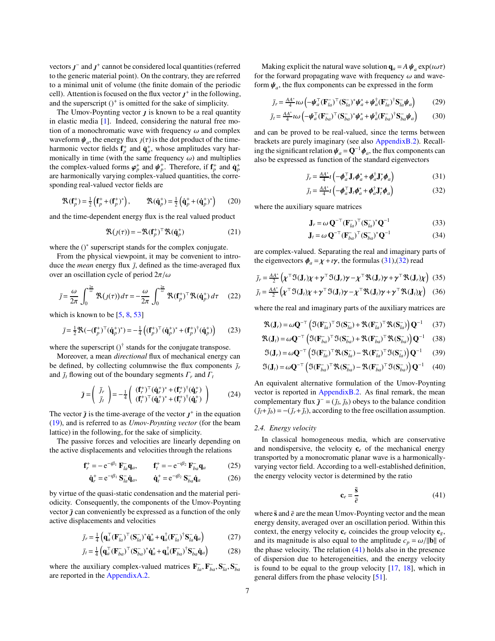vectors  $j^-$  and  $j^+$  cannot be considered local quantities (referred to the generic material point). On the contrary, they are referred to a minimal unit of volume (the finite domain of the periodic cell). Attention is focused on the flux vector  $j^+$  in the following, and the superscript  $()^+$  is omitted for the sake of simplicity.

The Umov-Poynting vector  $\boldsymbol{\mu}$  is known to be a real quantity in elastic media [1]. Indeed, considering the natural free motion of a monochromatic wave with frequency  $\omega$  and complex waveform  $\psi_a$ , the energy flux  $j(\tau)$  is the dot product of the timeharmonic vector fields  $f_p^+$  and  $\dot{q}_p^+$ , whose amplitudes vary harmonically in time (with the same frequency  $\omega$ ) and multiplies the complex-valued forms  $\varphi_p^+$  and  $\psi_p^+$ . Therefore, if  $\mathbf{f}_p^+$  and  $\mathbf{q}_p^+$ are harmonically varying complex-valued quantities, the corresponding real-valued vector fields are

$$
\mathcal{R}(\mathbf{f}_p^+) = \frac{1}{2} \left( \mathbf{f}_p^+ + (\mathbf{f}_p^+)^* \right), \qquad \mathcal{R}(\dot{\mathbf{q}}_p^+) = \frac{1}{2} \left( \dot{\mathbf{q}}_p^+ + (\dot{\mathbf{q}}_p^+)^* \right) \tag{20}
$$

and the time-dependent energy flux is the real valued product

$$
\mathfrak{R}(j(\tau)) = -\mathfrak{R}(\mathbf{f}_p^+)^\top \mathfrak{R}(\dot{\mathbf{q}}_p^+) \tag{21}
$$

where the ()<sup>\*</sup> superscript stands for the complex conjugate.

From the physical viewpoint, it may be convenient to introduce the *mean* energy flux  $\bar{j}$ , defined as the time-averaged flux over an oscillation cycle of period  $2\pi/\omega$ 

$$
\bar{j} = \frac{\omega}{2\pi} \int_0^{\frac{2\pi}{\omega}} \mathfrak{R}(j(\tau)) d\tau = -\frac{\omega}{2\pi} \int_0^{\frac{2\pi}{\omega}} \mathfrak{R}(\mathbf{f}_p^+)^\top \mathfrak{R}(\dot{\mathbf{q}}_p^+) d\tau \tag{22}
$$

which is known to be  $[5, 8, 53]$ 

$$
\bar{j} = \frac{1}{2} \Re \left( -(\mathbf{f}_p^+)^\top (\dot{\mathbf{q}}_p^+)^* \right) = -\frac{1}{4} \left( (\mathbf{f}_p^+)^\top (\dot{\mathbf{q}}_p^+)^* + (\mathbf{f}_p^+)^\top (\dot{\mathbf{q}}_p^+) \right) \tag{23}
$$

where the superscript  $()^{\dagger}$  stands for the conjugate transpose.

Moreover, a mean directional flux of mechanical energy can be defined, by collecting columnwise the flux components  $\bar{J}_r$ and  $\bar{I}_t$  flowing out of the boundary segments  $\Gamma_t$  and  $\Gamma_t$ 

$$
\bar{\boldsymbol{J}} = \begin{pmatrix} \bar{J}_r \\ \bar{J}_t \end{pmatrix} = -\frac{1}{4} \begin{pmatrix} (\mathbf{f}_r^+)^\top (\dot{\mathbf{q}}_r^+)^\ast + (\mathbf{f}_r^+)^\dagger (\dot{\mathbf{q}}_r^+) \\ (\mathbf{f}_r^+)^\top (\dot{\mathbf{q}}_r^+)^\ast + (\mathbf{f}_r^+)^\dagger (\dot{\mathbf{q}}_r^+) \end{pmatrix} \tag{24}
$$

The vector  $\bar{\jmath}$  is the time-average of the vector  $j^+$  in the equation (19), and is referred to as Umov-Poynting vector (for the beam lattice) in the following, for the sake of simplicity.

The passive forces and velocities are linearly depending on the active displacements and velocities through the relations

$$
\mathbf{f}_r^+ = -e^{-i\beta_1} \mathbf{F}_{la}^- \mathbf{q}_a, \qquad \mathbf{f}_t^+ = -e^{-i\beta_2} \mathbf{F}_{ba}^- \mathbf{q}_a \tag{25}
$$

$$
\dot{\mathbf{q}}_r^+ = e^{-i\beta_1} \mathbf{S}_{la}^- \dot{\mathbf{q}}_a, \qquad \dot{\mathbf{q}}_t^+ = e^{-i\beta_2} \mathbf{S}_{ba}^- \dot{\mathbf{q}}_a \tag{26}
$$

by virtue of the quasi-static condensation and the material periodicity. Consequently, the components of the Umov-Poynting vector  $\bar{j}$  can conveniently be expressed as a function of the only active displacements and velocities

$$
\bar{J}_r = \frac{1}{4} \left( \mathbf{q}_a^\top (\mathbf{F}_{la}^\top)^\top (\mathbf{S}_{la}^\top)^* \dot{\mathbf{q}}_a^* + \mathbf{q}_a^\top (\mathbf{F}_{la}^\top)^\top \mathbf{S}_{la}^\top \dot{\mathbf{q}}_a \right) \tag{27}
$$

$$
\bar{J}_t = \frac{1}{4} \left( \mathbf{q}_a^\top (\mathbf{F}_{ba}^-)^\top (\mathbf{S}_{ba}^-)^* \dot{\mathbf{q}}_a^* + \mathbf{q}_a^\dagger (\mathbf{F}_{ba}^-)^\dagger \mathbf{S}_{ba}^- \dot{\mathbf{q}}_a \right)
$$
(28)

where the auxiliary complex-valued matrices  $\mathbf{F}_{la}^-$ ,  $\mathbf{F}_{ba}^-$ ,  $\mathbf{S}_{la}^-$ ,  $\mathbf{S}_{ba}^$ are reported in the AppendixA.2.

Making explicit the natural wave solution  $\mathbf{q}_a = A \mathbf{\psi}_a \exp(i \omega \tau)$ for the forward propagating wave with frequency  $\omega$  and waveform  $\psi_a$ , the flux components can be expressed in the form

$$
\bar{J}_r = \frac{A A^*}{4} \iota \omega \left( - \boldsymbol{\psi}_a^\top (\mathbf{F}_{la}^-)^\top (\mathbf{S}_{la}^-)^* \boldsymbol{\psi}_a^* + \boldsymbol{\psi}_a^\dagger (\mathbf{F}_{la}^-)^{\dagger} \mathbf{S}_{la}^- \boldsymbol{\psi}_a \right) \tag{29}
$$

$$
\bar{J}_t = \frac{AA^*}{4}i\omega \left( -\boldsymbol{\psi}_a^\top (\mathbf{F}_{ba}^-)^\top (\mathbf{S}_{ba}^-)^* \boldsymbol{\psi}_a^* + \boldsymbol{\psi}_a^\dagger (\mathbf{F}_{ba}^-)^{\dagger} \mathbf{S}_{ba}^- \boldsymbol{\psi}_a \right) \tag{30}
$$

and can be proved to be real-valued, since the terms between brackets are purely imaginary (see also AppendixB.2). Recalling the significant relation  $\psi_a = \mathbf{Q}^{-1} \phi_a$ , the flux components can also be expressed as function of the standard eigenvectors

$$
\bar{J}_r = \frac{A A^*}{4} i \left( -\boldsymbol{\phi}_a^\top \mathbf{J}_r \boldsymbol{\phi}_a^* + \boldsymbol{\phi}_a^\dagger \mathbf{J}_r^* \boldsymbol{\phi}_a \right)
$$
(31)

$$
\bar{J}_t = \frac{A A^*}{4} \iota \left( -\boldsymbol{\phi}_a^\top \mathbf{J}_t \boldsymbol{\phi}_a^* + \boldsymbol{\phi}_a^\dagger \mathbf{J}_t^* \boldsymbol{\phi}_a \right) \tag{32}
$$

where the auxiliary square matrices

$$
\mathbf{J}_r = \omega \, \mathbf{Q}^{-\top} (\mathbf{F}_{la}^{-})^{\top} (\mathbf{S}_{la}^{-})^* \mathbf{Q}^{-1} \tag{33}
$$

$$
\mathbf{J}_t = \omega \, \mathbf{Q}^{-\top} (\mathbf{F}_{ba}^{-})^{\top} (\mathbf{S}_{ba}^{-})^* \mathbf{Q}^{-1} \tag{34}
$$

are complex-valued. Separating the real and imaginary parts of the eigenvectors  $\phi_a = \chi + i\gamma$ , the formulas (31),(32) read

$$
\bar{J}_r = \frac{AA^*}{2} \left( \chi^\top \mathfrak{I}(\mathbf{J}_r) \chi + \gamma^\top \mathfrak{I}(\mathbf{J}_r) \gamma - \chi^\top \mathfrak{R}(\mathbf{J}_r) \gamma + \gamma^\top \mathfrak{R}(\mathbf{J}_r) \chi \right) (35)
$$

$$
\bar{J}_t = \frac{AA^*}{2} \left( \chi^\top \mathfrak{I}(\mathbf{J}_t) \chi + \gamma^\top \mathfrak{I}(\mathbf{J}_t) \gamma - \chi^\top \mathfrak{R}(\mathbf{J}_t) \gamma + \gamma^\top \mathfrak{R}(\mathbf{J}_t) \chi \right) \tag{36}
$$

where the real and imaginary parts of the auxiliary matrices are

$$
\mathfrak{R}(\mathbf{J}_r) = \omega \mathbf{Q}^{-\top} \left( \mathfrak{I}(\mathbf{F}_{la}^{-})^{\top} \mathfrak{I}(\mathbf{S}_{la}^{-}) + \mathfrak{R}(\mathbf{F}_{la}^{-})^{\top} \mathfrak{R}(\mathbf{S}_{la}^{-}) \right) \mathbf{Q}^{-1} \tag{37}
$$

$$
\mathbf{\mathcal{R}}(\mathbf{J}_t) = \omega \mathbf{Q}^{-\top} \left( \mathbf{\mathcal{I}}(\mathbf{F}_{ba}^{-})^{\top} \mathbf{\mathcal{I}}(\mathbf{S}_{ba}^{-}) + \mathbf{\mathcal{R}}(\mathbf{F}_{ba}^{-})^{\top} \mathbf{\mathcal{R}}(\mathbf{S}_{ba}^{-}) \right) \mathbf{Q}^{-1} \tag{38}
$$

$$
\mathfrak{I}(\mathbf{J}_r) = \omega \mathbf{Q}^{-\top} \left( \mathfrak{I}(\mathbf{F}_{la}^{-})^{\top} \mathfrak{R}(\mathbf{S}_{la}^{-}) - \mathfrak{R}(\mathbf{F}_{la}^{-})^{\top} \mathfrak{I}(\mathbf{S}_{la}^{-}) \right) \mathbf{Q}^{-1} \qquad (39)
$$

$$
\mathfrak{I}(\mathbf{J}_t) = \omega \mathbf{Q}^{-\top} \left( \mathfrak{I}(\mathbf{F}_{ba}^{-})^{\top} \mathfrak{R}(\mathbf{S}_{ba}^{-}) - \mathfrak{R}(\mathbf{F}_{ba}^{-})^{\top} \mathfrak{I}(\mathbf{S}_{ba}^{-}) \right) \mathbf{Q}^{-1} \tag{40}
$$

An equivalent alternative formulation of the Umov-Poynting vector is reported in AppendixB.2. As final remark, the mean complementary flux  $\bar{\mathbf{J}}^{\text{-}} = (\bar{\mathbf{J}}_l, \bar{\mathbf{J}}_b)$  obeys to the balance condition  $(\bar{\jmath}_l+\bar{\jmath}_b) = -(\bar{\jmath}_r+\bar{\jmath}_t)$ , according to the free oscillation assumption.

#### 2.4. Energy velocity

In classical homogeneous media, which are conservative and nondispersive, the velocity  $c_e$  of the mechanical energy transported by a monocromatic planar wave is a harmonicallyvarying vector field. According to a well-established definition, the energy velocity vector is determined by the ratio

$$
\mathbf{c}_e = \frac{\bar{\mathbf{s}}}{\bar{e}} \tag{41}
$$

where  $\bar{s}$  and  $\bar{e}$  are the mean Umov-Poynting vector and the mean energy density, averaged over an oscillation period. Within this context, the energy velocity  $c_e$  coincides the group velocity  $c_g$ , and its magnitude is also equal to the amplitude  $c_p = \omega / ||\mathbf{b}||$  of the phase velocity. The relation  $(41)$  holds also in the presence of dispersion due to heterogeneities, and the energy velocity is found to be equal to the group velocity  $[17, 18]$ , which in general differs from the phase velocity [51].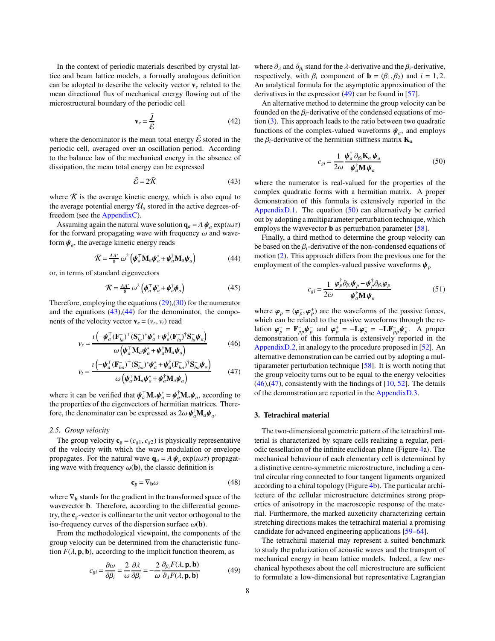In the context of periodic materials described by crystal lattice and beam lattice models, a formally analogous definition can be adopted to describe the velocity vector  $\mathbf{v}_e$  related to the mean directional flux of mechanical energy flowing out of the microstructural boundary of the periodic cell

$$
\mathbf{v}_e = \frac{\bar{\mathbf{J}}}{\bar{\mathbf{E}}}
$$
(42)

where the denominator is the mean total energy  $\bar{\mathcal{E}}$  stored in the periodic cell, averaged over an oscillation period. According to the balance law of the mechanical energy in the absence of dissipation, the mean total energy can be expressed

$$
\bar{\mathcal{E}} = 2\bar{\mathcal{K}}\tag{43}
$$

where  $\bar{K}$  is the average kinetic energy, which is also equal to the average potential energy  $\bar{\mathcal{U}}_a$  stored in the active degrees-offreedom (see the AppendixC).

Assuming again the natural wave solution  $\mathbf{q}_a = A \mathbf{\psi}_a \exp(i\omega \tau)$ for the forward propagating wave with frequency  $\omega$  and waveform  $\psi_a$ , the average kinetic energy reads

$$
\bar{\mathcal{K}} = \frac{A A^*}{8} \omega^2 \left( \boldsymbol{\psi}_a^{\top} \mathbf{M}_a \boldsymbol{\psi}_a^* + \boldsymbol{\psi}_a^{\top} \mathbf{M}_a \boldsymbol{\psi}_a \right)
$$
(44)

or, in terms of standard eigenvectors

$$
\bar{\mathcal{K}} = \frac{AA^*}{8} \omega^2 \left( \boldsymbol{\phi}_a^\top \boldsymbol{\phi}_a^* + \boldsymbol{\phi}_a^\dagger \boldsymbol{\phi}_a \right) \tag{45}
$$

Therefore, employing the equations  $(29)$ , $(30)$  for the numerator and the equations  $(43)$ , $(44)$  for the denominator, the components of the velocity vector  $\mathbf{v}_e = (v_r, v_t)$  read

$$
v_r = \frac{i\left(\boldsymbol{-}\boldsymbol{\psi}_a^\top (\mathbf{F}_{la}^\top)^\top (\mathbf{S}_{la}^\top)^* \boldsymbol{\psi}_a^* + \boldsymbol{\psi}_a^\dagger (\mathbf{F}_{la}^\top)^\top \mathbf{S}_{la}^\top \boldsymbol{\psi}_a\right)}{\omega \left(\boldsymbol{\psi}_a^\top \mathbf{M}_a \boldsymbol{\psi}_a^* + \boldsymbol{\psi}_a^\top \mathbf{M}_a \boldsymbol{\psi}_a\right)}\tag{46}
$$

$$
v_t = \frac{i\left(-\mathbf{\psi}_a^{\top}(\mathbf{F}_{ba}^{-})^{\top}(\mathbf{S}_{ba}^{-})^*\mathbf{\psi}_a^* + \mathbf{\psi}_a^{\dagger}(\mathbf{F}_{ba}^{-})^{\top}\mathbf{S}_{ba}^{-}\mathbf{\psi}_a\right)}{\omega\left(\mathbf{\psi}_a^{\top}\mathbf{M}_a\mathbf{\psi}_a^* + \mathbf{\psi}_a^{\dagger}\mathbf{M}_a\mathbf{\psi}_a\right)}\tag{47}
$$

where it can be verified that  $\psi_a^{\dagger} \mathbf{M}_a \psi_a^* = \psi_a^{\dagger} \mathbf{M}_a \psi_a$ , according to the properties of the eigenvectors of hermitian matrices. Therefore, the denominator can be expressed as  $2\omega \psi_a^{\dagger} \mathbf{M}_a \psi_a$ .

#### 2.5. Group velocity

The group velocity  $\mathbf{c}_g = (c_{g1}, c_{g2})$  is physically representative of the velocity with which the wave modulation or envelope propagates. For the natural wave  $\mathbf{q}_a = A \psi_a \exp(i \omega \tau)$  propagating wave with frequency  $\omega(\mathbf{b})$ , the classic definition is

$$
\mathbf{c}_g = \nabla_\mathbf{b} \omega \tag{48}
$$

where  $\nabla_{\mathbf{b}}$  stands for the gradient in the transformed space of the wavevector **b**. Therefore, according to the differential geometry, the  $c_{\varphi}$ -vector is collinear to the unit vector orthogonal to the iso-frequency curves of the dispersion surface  $\omega(\mathbf{b})$ .

From the methodological viewpoint, the components of the group velocity can be determined from the characteristic function  $F(\lambda, \mathbf{p}, \mathbf{b})$ , according to the implicit function theorem, as

$$
c_{gi} = \frac{\partial \omega}{\partial \beta_i} = \frac{2}{\omega} \frac{\partial \lambda}{\partial \beta_i} = -\frac{2}{\omega} \frac{\partial_{\beta_i} F(\lambda, \mathbf{p}, \mathbf{b})}{\partial_{\lambda} F(\lambda, \mathbf{p}, \mathbf{b})}
$$
(49)

where  $\partial_{\lambda}$  and  $\partial_{\beta_i}$  stand for the  $\lambda$ -derivative and the  $\beta_i$ -derivative, respectively, with  $\beta_i$  component of **b** =  $(\beta_1, \beta_2)$  and  $i = 1, 2$ . An analytical formula for the asymptotic approximation of the derivatives in the expression (49) can be found in [57].

An alternative method to determine the group velocity can be founded on the  $\beta_i$ -derivative of the condensed equations of motion (3). This approach leads to the ratio between two quadratic functions of the complex-valued waveforms  $\psi_a$ , and employs the  $\beta_i$ -derivative of the hermitian stiffness matrix  $\mathbf{K}_a$ 

$$
c_{gi} = \frac{1}{2\omega} \frac{\psi_a^{\dagger} \partial_{\beta_i} \mathbf{K}_a \psi_a}{\psi_a^{\dagger} \mathbf{M} \psi_a}
$$
(50)

where the numerator is real-valued for the properties of the complex quadratic forms with a hermitian matrix. A proper demonstration of this formula is extensively reported in the AppendixD.1. The equation  $(50)$  can alternatively be carried out by adopting a multiparameter perturbation technique, which employs the wavevector **b** as perturbation parameter  $[58]$ .

Finally, a third method to determine the group velocity can be based on the  $\beta_i$ -derivative of the non-condensed equations of motion (2). This approach differs from the previous one for the employment of the complex-valued passive waveforms  $\psi_n$ 

$$
c_{gi} = \frac{1}{2\omega} \frac{\varphi_p^{\top} \partial_{\beta_i} \psi_p - \psi_p^{\top} \partial_{\beta_i} \varphi_p}{\psi_a^{\top} \mathbf{M} \psi_a}
$$
(51)

where  $\varphi_p = (\varphi_p^-, \varphi_p^+)$  are the waveforms of the passive forces, which can be related to the passive waveforms through the relation  $\varphi_p^- = \mathbf{F}_{pp}^- \psi_p^-$  and  $\varphi_p^+ = -\mathbf{L}\varphi_p^- = -\mathbf{L}\mathbf{F}_{pp}^- \psi_p^-$ . A proper demonstration of this formula is extensively reported in the AppendixD.2, in analogy to the procedure proposed in  $[52]$ . An alternative demonstration can be carried out by adopting a multiparameter perturbation technique [58]. It is worth noting that the group velocity turns out to be equal to the energy velocities  $(46)$ , $(47)$ , consistently with the findings of  $[10, 52]$ . The details of the demonstration are reported in the AppendixD.3.

## 3. Tetrachiral material

The two-dimensional geometric pattern of the tetrachiral material is characterized by square cells realizing a regular, periodic tessellation of the infinite euclidean plane (Figure 4a). The mechanical behaviour of each elementary cell is determined by a distinctive centro-symmetric microstructure, including a central circular ring connected to four tangent ligaments organized according to a chiral topology (Figure 4b). The particular architecture of the cellular microstructure determines strong properties of anisotropy in the macroscopic response of the material. Furthermore, the marked auxeticity characterizing certain stretching directions makes the tetrachiral material a promising candidate for advanced engineering applications [59–64].

The tetrachiral material may represent a suited benchmark to study the polarization of acoustic waves and the transport of mechanical energy in beam lattice models. Indeed, a few mechanical hypotheses about the cell microstructure are sufficient to formulate a low-dimensional but representative Lagrangian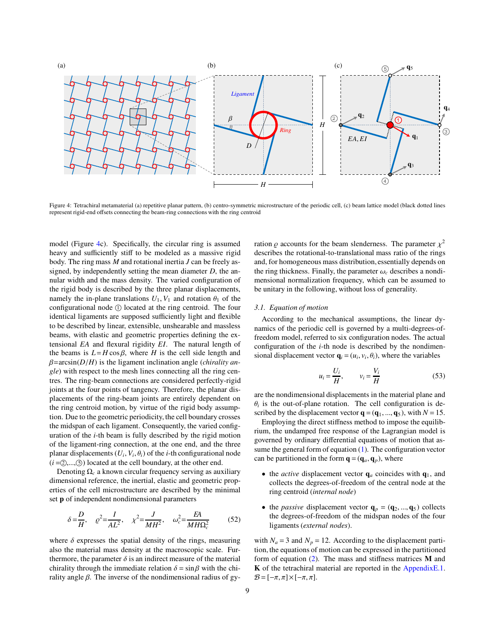

Figure 4: Tetrachiral metamaterial (a) repetitive planar pattern, (b) centro-symmetric microstructure of the periodic cell, (c) beam lattice model (black dotted lines represent rigid-end offsets connecting the beam-ring connections with the ring centroid

model (Figure 4c). Specifically, the circular ring is assumed heavy and sufficiently stiff to be modeled as a massive rigid body. The ring mass M and rotational inertia J can be freely assigned, by independently setting the mean diameter  $D$ , the annular width and the mass density. The varied configuration of the rigid body is described by the three planar displacements, namely the in-plane translations  $U_1, V_1$  and rotation  $\theta_1$  of the configurational node  $\odot$  located at the ring centroid. The four identical ligaments are supposed sufficiently light and flexible to be described by linear, extensible, unshearable and massless beams, with elastic and geometric properties defining the extensional EA and flexural rigidity EI. The natural length of the beams is  $L=H\cos\beta$ , where H is the cell side length and  $\beta$ =arcsin(D/H) is the ligament inclination angle (*chirality an*gle) with respect to the mesh lines connecting all the ring centres. The ring-beam connections are considered perfectly-rigid joints at the four points of tangency. Therefore, the planar displacements of the ring-beam joints are entirely dependent on the ring centroid motion, by virtue of the rigid body assumption. Due to the geometric periodicity, the cell boundary crosses the midspan of each ligament. Consequently, the varied configuration of the i-th beam is fully described by the rigid motion of the ligament-ring connection, at the one end, and the three planar displacements  $(U_i, V_i, \theta_i)$  of the *i*-th configurational node  $(i = 2, \ldots, 5)$  located at the cell boundary, at the other end.

Denoting  $\Omega_c$  a known circular frequency serving as auxiliary dimensional reference, the inertial, elastic and geometric properties of the cell microstructure are described by the minimal set p of independent nondimensional parameters

$$
\delta = \frac{D}{H}
$$
,  $\varrho^2 = \frac{I}{AL^2}$ ,  $\chi^2 = \frac{J}{MH^2}$ ,  $\omega_c^2 = \frac{EA}{MH\Omega_c^2}$  (52)

where  $\delta$  expresses the spatial density of the rings, measuring also the material mass density at the macroscopic scale. Furthermore, the parameter  $\delta$  is an indirect measure of the material chirality through the immediate relation  $\delta = \sin \beta$  with the chirality angle  $\beta$ . The inverse of the nondimensional radius of gy-

ration  $\varrho$  accounts for the beam slenderness. The parameter  $\chi^2$ describes the rotational-to-translational mass ratio of the rings and, for homogeneous mass distribution, essentially depends on the ring thickness. Finally, the parameter  $\omega_c$  describes a nondimensional normalization frequency, which can be assumed to be unitary in the following, without loss of generality.

#### 3.1. Equation of motion

According to the mechanical assumptions, the linear dynamics of the periodic cell is governed by a multi-degrees-offreedom model, referred to six configuration nodes. The actual configuration of the i-th node is described by the nondimensional displacement vector  $\mathbf{q}_i = (u_i, v_i, \theta_i)$ , where the variables

$$
u_i = \frac{U_i}{H}, \qquad v_i = \frac{V_i}{H}
$$
 (53)

are the nondimensional displacements in the material plane and  $\theta_i$  is the out-of-plane rotation. The cell configuration is described by the displacement vector  $\mathbf{q} = (\mathbf{q}_1, ..., \mathbf{q}_5)$ , with  $N = 15$ .

Employing the direct stiffness method to impose the equilibrium, the undamped free response of the Lagrangian model is governed by ordinary differential equations of motion that assume the general form of equation (1). The configuration vector can be partitioned in the form  $\mathbf{q} = (\mathbf{q}_a, \mathbf{q}_p)$ , where

- the *active* displacement vector  $q_a$  coincides with  $q_1$ , and collects the degrees-of-freedom of the central node at the ring centroid (internal node)
- the *passive* displacement vector  $\mathbf{q}_p = (\mathbf{q}_2, ..., \mathbf{q}_5)$  collects the degrees-of-freedom of the midspan nodes of the four ligaments (external nodes).

with  $N_a = 3$  and  $N_p = 12$ . According to the displacement partition, the equations of motion can be expressed in the partitioned form of equation (2). The mass and stiffness matrices M and K of the tetrachiral material are reported in the AppendixE.1.  $B = [-\pi, \pi] \times [-\pi, \pi].$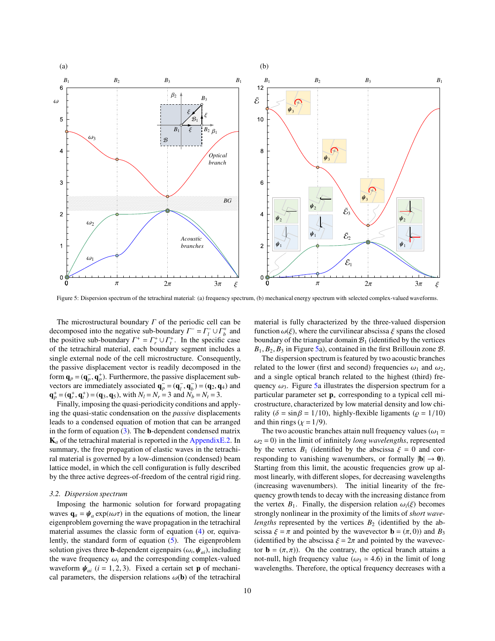

Figure 5: Dispersion spectrum of the tetrachiral material: (a) frequency spectrum, (b) mechanical energy spectrum with selected complex-valued waveforms.

The microstructural boundary  $\Gamma$  of the periodic cell can be decomposed into the negative sub-boundary  $\Gamma^- = \Gamma^-_l \cup \Gamma^+_b$  and the positive sub-boundary  $\Gamma^+ = \Gamma_r^+ \cup \Gamma_t^+$ . In the specific case of the tetrachiral material, each boundary segment includes a single external node of the cell microstructure. Consequently, the passive displacement vector is readily decomposed in the form  $\mathbf{q}_p = (\mathbf{q}_p^-, \mathbf{q}_p^+)$ . Furthermore, the passive displacement subvectors are immediately associated  $\mathbf{q}_p^- = (\mathbf{q}_l^-, \mathbf{q}_b^-) = (\mathbf{q}_2, \mathbf{q}_4)$  and  $\mathbf{q}_p^+ = (\mathbf{q}_r^+, \mathbf{q}_t^+) = (\mathbf{q}_3, \mathbf{q}_5)$ , with  $N_l = N_r = 3$  and  $N_b = N_t = 3$ .

Finally, imposing the quasi-periodicity conditions and applying the quasi-static condensation on the passive displacements leads to a condensed equation of motion that can be arranged in the form of equation  $(3)$ . The **b**-dependent condensed matrix  $\mathbf{K}_a$  of the tetrachiral material is reported in the AppendixE.2. In summary, the free propagation of elastic waves in the tetrachiral material is governed by a low-dimension (condensed) beam lattice model, in which the cell configuration is fully described by the three active degrees-of-freedom of the central rigid ring.

#### 3.2. Dispersion spectrum

Imposing the harmonic solution for forward propagating waves  $\mathbf{q}_a = \mathbf{\psi}_a \exp(i\omega \tau)$  in the equations of motion, the linear eigenproblem governing the wave propagation in the tetrachiral material assumes the classic form of equation (4) or, equivalently, the standard form of equation (5). The eigenproblem solution gives three **b**-dependent eigenpairs  $(\omega_i, \psi_{ai})$ , including the wave frequency  $\omega_i$  and the corresponding complex-valued waveform  $\psi_{ai}$  (i = 1, 2, 3). Fixed a certain set **p** of mechanical parameters, the dispersion relations  $\omega(\mathbf{b})$  of the tetrachiral

material is fully characterized by the three-valued dispersion function  $\omega(\xi)$ , where the curvilinear abscissa  $\xi$  spans the closed boundary of the triangular domain  $B_1$  (identified by the vertices  $B_1, B_2, B_3$  in Figure 5a), contained in the first Brillouin zone  $B$ .

The dispersion spectrum is featured by two acoustic branches related to the lower (first and second) frequencies  $\omega_1$  and  $\omega_2$ , and a single optical branch related to the highest (third) frequency  $\omega_3$ . Figure 5a illustrates the dispersion spectrum for a particular parameter set p<sup>∗</sup> corresponding to a typical cell microstructure, characterized by low material density and low chirality ( $\delta = \sin \beta = 1/10$ ), highly-flexible ligaments ( $\varrho = 1/10$ ) and thin rings ( $\chi$  = 1/9).

The two acoustic branches attain null frequency values ( $\omega_1$  =  $\omega_2$  = 0) in the limit of infinitely *long wavelengths*, represented by the vertex  $B_1$  (identified by the abscissa  $\xi = 0$  and corresponding to vanishing wavenumbers, or formally  $|b| \rightarrow 0$ ). Starting from this limit, the acoustic frequencies grow up almost linearly, with different slopes, for decreasing wavelengths (increasing wavenumbers). The initial linearity of the frequency growth tends to decay with the increasing distance from the vertex  $B_1$ . Finally, the dispersion relation  $\omega_i(\xi)$  becomes strongly nonlinear in the proximity of the limits of short wavelengths represented by the vertices  $B_2$  (identified by the abscissa  $\xi = \pi$  and pointed by the wavevector  $\mathbf{b} = (\pi, 0)$  and  $B_3$ (identified by the abscissa  $\xi = 2\pi$  and pointed by the wavevector  $\mathbf{b} = (\pi, \pi)$ . On the contrary, the optical branch attains a not-null, high frequency value ( $\omega_3 \approx 4.6$ ) in the limit of long wavelengths. Therefore, the optical frequency decreases with a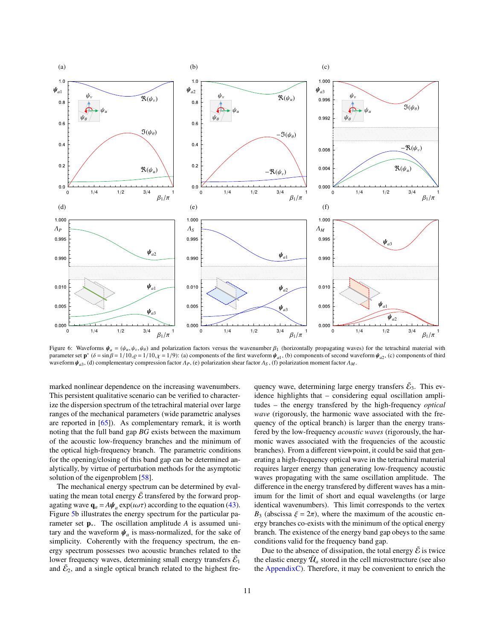

Figure 6: Waveforms  $\psi_a = (\psi_a, \psi_y, \psi_\theta)$  and polarization factors versus the wavenumber  $\beta_1$  (horizontally propagating waves) for the tetrachiral material with parameter set  $\mathbf{p}^*$  ( $\delta = \sin \beta = 1/10, \rho = 1/10, \chi = 1/9$ ): (a) components of the first waveform  $\psi_{a1}$ , (b) components of second waveform  $\psi_{a2}$ , (c) components of third waveform  $\psi_{a3}$ , (d) complementary compression factor  $\Lambda_P$ , (e) polarization shear factor  $\Lambda_S$ , (f) polarization moment factor  $\Lambda_M$ .

marked nonlinear dependence on the increasing wavenumbers. This persistent qualitative scenario can be verified to characterize the dispersion spectrum of the tetrachiral material over large ranges of the mechanical parameters (wide parametric analyses are reported in [65]). As complementary remark, it is worth noting that the full band gap BG exists between the maximum of the acoustic low-frequency branches and the minimum of the optical high-frequency branch. The parametric conditions for the opening/closing of this band gap can be determined analytically, by virtue of perturbation methods for the asymptotic solution of the eigenproblem [58].

The mechanical energy spectrum can be determined by evaluating the mean total energy  $\bar{\mathcal{E}}$  transfered by the forward propagating wave  $\mathbf{q}_a = A \boldsymbol{\psi}_a \exp(i\omega \tau)$  according to the equation (43). Figure 5b illustrates the energy spectrum for the particular parameter set  $\mathbf{p}_*$ . The oscillation amplitude A is assumed unitary and the waveform  $\psi_a$  is mass-normalized, for the sake of simplicity. Coherently with the frequency spectrum, the energy spectrum possesses two acoustic branches related to the lower frequency waves, determining small energy transfers  $\bar{\mathcal{E}}_1$ and  $\bar{\mathcal{E}}_2$ , and a single optical branch related to the highest fre-

quency wave, determining large energy transfers  $\bar{\mathcal{E}}_3$ . This evidence highlights that – considering equal oscillation amplitudes – the energy transfered by the high-frequency optical wave (rigorously, the harmonic wave associated with the frequency of the optical branch) is larger than the energy transfered by the low-frequency acoustic waves (rigorously, the harmonic waves associated with the frequencies of the acoustic branches). From a different viewpoint, it could be said that generating a high-frequency optical wave in the tetrachiral material requires larger energy than generating low-frequency acoustic waves propagating with the same oscillation amplitude. The difference in the energy transfered by different waves has a minimum for the limit of short and equal wavelengths (or large identical wavenumbers). This limit corresponds to the vertex B<sub>3</sub> (abscissa  $\xi = 2\pi$ ), where the maximum of the acoustic energy branches co-exists with the minimum of the optical energy branch. The existence of the energy band gap obeys to the same conditions valid for the frequency band gap.

Due to the absence of dissipation, the total energy  $\bar{\mathcal{E}}$  is twice the elastic energy  $\bar{\mathcal{U}}_a$  stored in the cell microstructure (see also the AppendixC). Therefore, it may be convenient to enrich the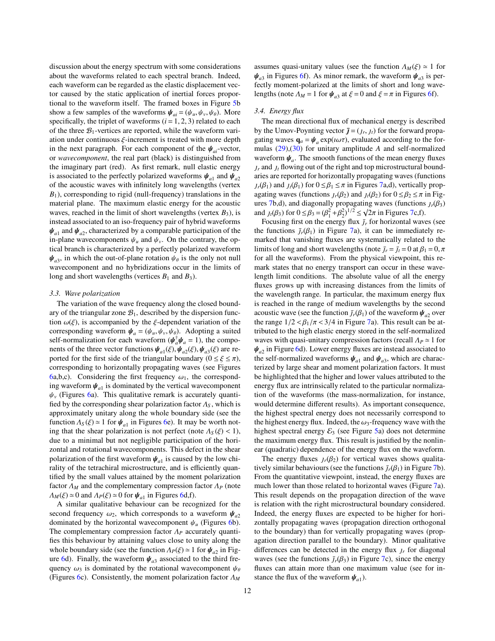discussion about the energy spectrum with some considerations about the waveforms related to each spectral branch. Indeed, each waveform can be regarded as the elastic displacement vector caused by the static application of inertial forces proportional to the waveform itself. The framed boxes in Figure 5b show a few samples of the waveforms  $\psi_{ai} = (\psi_u, \psi_v, \psi_\theta)$ . More specifically, the triplet of waveforms  $(i = 1, 2, 3)$  related to each of the three  $B_1$ -vertices are reported, while the waveform variation under continuous  $\xi$ -increment is treated with more depth in the next paragraph. For each component of the  $\psi_{ai}$ -vector, or wavecomponent, the real part (black) is distinguished from the imaginary part (red). As first remark, null elastic energy is associated to the perfectly polarized waveforms  $\psi_{a1}$  and  $\psi_{a2}$ of the acoustic waves with infinitely long wavelengths (vertex  $B_1$ ), corresponding to rigid (null-frequency) translations in the material plane. The maximum elastic energy for the acoustic waves, reached in the limit of short wavelengths (vertex  $B_3$ ), is instead associated to an iso-frequency pair of hybrid waveforms  $\psi_{a1}$  and  $\psi_{a2}$ , characterized by a comparable participation of the in-plane wavecomponents  $\psi_u$  and  $\psi_v$ . On the contrary, the optical branch is characterized by a perfectly polarized waveform  $\psi_{a3}$ , in which the out-of-plane rotation  $\psi_{\theta}$  is the only not null wavecomponent and no hybridizations occur in the limits of long and short wavelengths (vertices  $B_1$  and  $B_3$ ).

## 3.3. Wave polarization

The variation of the wave frequency along the closed boundary of the triangular zone  $\mathcal{B}_1$ , described by the dispersion function  $\omega(\xi)$ , is accompanied by the ξ-dependent variation of the corresponding waveform  $\psi_a = (\psi_u, \psi_v, \psi_\theta)$ . Adopting a suited self-normalization for each waveform  $(\psi_a^{\dagger} \psi_a = 1)$ , the components of the three vector functions  $\psi_{a1}(\xi), \psi_{a2}(\xi), \psi_{a3}(\xi)$  are reported for the first side of the triangular boundary ( $0 \le \xi \le \pi$ ), corresponding to horizontally propagating waves (see Figures 6a,b,c). Considering the first frequency  $\omega_1$ , the corresponding waveform  $\psi_{a1}$  is dominated by the vertical wavecomponent  $\psi_{\nu}$  (Figures 6a). This qualitative remark is accurately quantified by the corresponding shear polarization factor  $\Lambda_S$ , which is approximately unitary along the whole boundary side (see the function  $\Lambda_S(\xi) \simeq 1$  for  $\psi_{a1}$  in Figures 6e). It may be worth noting that the shear polarization is not perfect (note  $\Lambda_S(\xi) < 1$ ), due to a minimal but not negligible participation of the horizontal and rotational wavecomponents. This defect in the shear polarization of the first waveform  $\psi_{a1}$  is caused by the low chirality of the tetrachiral microstructure, and is efficiently quantified by the small values attained by the moment polarization factor  $\Lambda_M$  and the complementary compression factor  $\Lambda_P$  (note  $\Lambda_M(\xi) \simeq 0$  and  $\Lambda_P(\xi) \simeq 0$  for  $\psi_{a1}$  in Figures 6d,f).

A similar qualitative behaviour can be recognized for the second frequency  $\omega_2$ , which corresponds to a waveform  $\psi_{a2}$ dominated by the horizontal wavecomponent  $\psi_u$  (Figures 6b). The complementary compression factor  $\Lambda_P$  accurately quantifies this behaviour by attaining values close to unity along the whole boundary side (see the function  $\Lambda_P(\xi) \simeq 1$  for  $\psi_{a2}$  in Figure 6d). Finally, the waveform  $\psi_{a3}$  associated to the third frequency  $\omega_3$  is dominated by the rotational wavecomponent  $\psi_\theta$ (Figures 6c). Consistently, the moment polarization factor  $\Lambda_M$ 

assumes quasi-unitary values (see the function  $\Lambda_M(\xi) \simeq 1$  for  $\psi_{a3}$  in Figures 6f). As minor remark, the waveform  $\psi_{a3}$  is perfectly moment-polarized at the limits of short and long wavelengths (note  $\Lambda_M = 1$  for  $\psi_{a3}$  at  $\xi = 0$  and  $\xi = \pi$  in Figures 6f).

#### 3.4. Energy flux

The mean directional flux of mechanical energy is described by the Umov-Poynting vector  $\bar{\mathbf{J}} = (J_r, J_t)$  for the forward propagating waves  $\mathbf{q}_a = \mathbf{\psi}_a \exp(i\omega \tau)$ , evaluated according to the formulas  $(29)$ , $(30)$  for unitary amplitude A and self-normalized waveform  $\psi_a$ . The smooth functions of the mean energy fluxes  $r_{Ir}$  and  $r_{It}$  flowing out of the right and top microstructural boundaries are reported for horizontally propagating waves (functions  $r(r(\beta_1)$  and  $r(r(\beta_1))$  for  $0 \leq \beta_1 \leq \pi$  in Figures 7a,d), vertically propagating waves (functions  $r_1(\beta_2)$  and  $r_1(\beta_2)$  for  $0 \leq \beta_2 \leq \pi$  in Figures 7b,d), and diagonally propagating waves (functions  $J_r(\beta_3)$ and  $J_1(\beta_3)$  for  $0 \le \beta_3 = (\beta_1^2 + \beta_2^2)^{1/2} \le \sqrt{2\pi}$  in Figures 7c,f).

Focusing first on the energy flux  $\bar{J}_r$  for horizontal waves (see the functions  $\bar{j}_r(\beta_1)$  in Figure 7a), it can be immediately remarked that vanishing fluxes are systematically related to the limits of long and short wavelengths (note  $\bar{J}_r = \bar{J}_t = 0$  at  $\beta_1 = 0, \pi$ for all the waveforms). From the physical viewpoint, this remark states that no energy transport can occur in these wavelength limit conditions. The absolute value of all the energy fluxes grows up with increasing distances from the limits of the wavelength range. In particular, the maximum energy flux is reached in the range of medium wavelengths by the second acoustic wave (see the function  $\bar{J}_r(\beta_1)$  of the waveform  $\psi_a$  over the range  $1/2 < \beta_1/\pi < 3/4$  in Figure 7a). This result can be attributed to the high elastic energy stored in the self-normalized waves with quasi-unitary compression factors (recall  $\Lambda_P \simeq 1$  for  $\psi_{a2}$  in Figure 6d). Lower energy fluxes are instead associated to the self-normalized waveforms  $\psi_{a1}$  and  $\psi_{a3}$ , which are characterized by large shear and moment polarization factors. It must be highlighted that the higher and lower values attributed to the energy flux are intrinsically related to the particular normalization of the waveforms (the mass-normalization, for instance, would determine different results). As important consequence, the highest spectral energy does not necessarily correspond to the highest energy flux. Indeed, the  $\omega_3$ -frequency wave with the highest spectral energy  $\mathcal{E}_3$  (see Figure 5a) does not determine the maximum energy flux. This result is justified by the nonlinear (quadratic) dependence of the energy flux on the waveform.

The energy fluxes  $r(r(\beta_2))$  for vertical waves shows qualitatively similar behaviours (see the functions  $\bar{J}_r(\beta_1)$  in Figure 7b). From the quantitative viewpoint, instead, the energy fluxes are much lower than those related to horizontal waves (Figure 7a). This result depends on the propagation direction of the wave is relation with the right microstructural boundary considered. Indeed, the energy fluxes are expected to be higher for horizontally propagating waves (propagation direction orthogonal to the boundary) than for vertically propagating waves (propagation direction parallel to the boundary). Minor qualitative differences can be detected in the energy flux  $r_r$  for diagonal waves (see the functions  $\bar{J}_r(\beta_3)$  in Figure 7c), since the energy fluxes can attain more than one maximum value (see for instance the flux of the waveform  $\psi_{a1}$ ).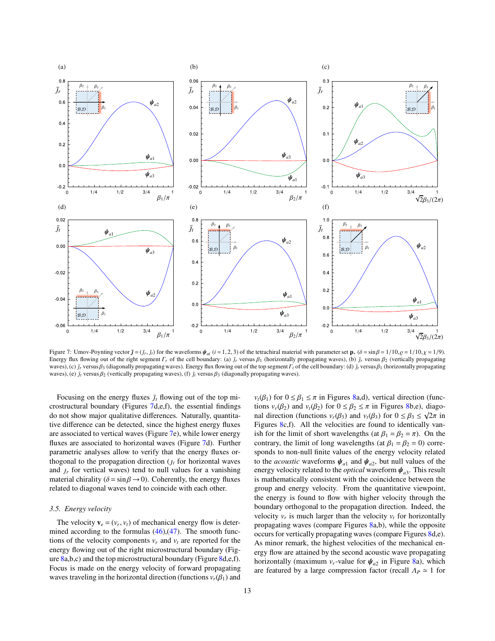

Figure 7: Umov-Poynting vector  $\vec{J} = (\vec{j}_r, \vec{j}_t)$  for the waveforms  $\psi_{ai}$  (i = 1, 2, 3) of the tetrachiral material with parameter set  $\vec{p}_*$  ( $\delta = \sin \beta = 1/10, \rho = 1/10, \chi = 1/9$ ). Energy flux flowing out of the right segment  $\Gamma_r$  of the cell boundary: (a)  $\bar{j}_r$  versus  $\beta_1$  (horizontally propagating waves), (b)  $\bar{j}_r$  versus  $\beta_2$  (vertically propagating waves), (c)  $\bar{j}_r$  versus  $\beta_3$  (diagonally propagating waves). Energy flux flowing out of the top segment  $\Gamma_t$  of the cell boundary: (d)  $\bar{j}_t$  versus  $\beta_1$  (horizontally propagating waves), (e)  $\bar{J}_t$  versus  $\beta_2$  (vertically propagating waves), (f)  $\bar{J}_t$  versus  $\beta_3$  (diagonally propagating waves).

Focusing on the energy fluxes  $\bar{J}_t$  flowing out of the top microstructural boundary (Figures 7d,e,f), the essential findings do not show major qualitative differences. Naturally, quantitative difference can be detected, since the highest energy fluxes are associated to vertical waves (Figure 7e), while lower energy fluxes are associated to horizontal waves (Figure 7d). Further parametric analyses allow to verify that the energy fluxes orthogonal to the propagation direction  $(t_t)$  for horizontal waves and  $r$  for vertical waves) tend to null values for a vanishing material chirality ( $\delta = \sin \beta \rightarrow 0$ ). Coherently, the energy fluxes related to diagonal waves tend to coincide with each other.

## 3.5. Energy velocity

The velocity  $\mathbf{v}_e = (v_r, v_t)$  of mechanical energy flow is determined according to the formulas  $(46)$ , $(47)$ . The smooth functions of the velocity components  $v_r$  and  $v_t$  are reported for the energy flowing out of the right microstructural boundary (Figure 8a,b,c) and the top microstructural boundary (Figure 8d,e,f). Focus is made on the energy velocity of forward propagating waves traveling in the horizontal direction (functions  $v_r(\beta_1)$ ) and  $v_t(\beta_1)$  for  $0 \le \beta_1 \le \pi$  in Figures 8a,d), vertical direction (functions  $v_r(\beta_2)$  and  $v_t(\beta_2)$  for  $0 \le \beta_2 \le \pi$  in Figures 8b,e), diagonal direction (functions  $v_r(\beta_3)$  and  $v_t(\beta_3)$  for  $0 \le \beta_3 \le \sqrt{2\pi}$  in Figures 8c,f). All the velocities are found to identically vanish for the limit of short wavelengths (at  $\beta_1 = \beta_2 = \pi$ ). On the contrary, the limit of long wavelengths (at  $\beta_1 = \beta_2 = 0$ ) corresponds to non-null finite values of the energy velocity related to the *acoustic* waveforms  $\psi_{a1}$  and  $\psi_{a2}$ , but null values of the energy velocity related to the *optical* waveform  $\psi_{a3}$ . This result is mathematically consistent with the coincidence between the group and energy velocity. From the quantitative viewpoint, the energy is found to flow with higher velocity through the boundary orthogonal to the propagation direction. Indeed, the velocity  $v_r$  is much larger than the velocity  $v_t$  for horizontally propagating waves (compare Figures 8a,b), while the opposite occurs for vertically propagating waves (compare Figures 8d,e). As minor remark, the highest velocities of the mechanical energy flow are attained by the second acoustic wave propagating horizontally (maximum  $v_r$ -value for  $\psi_{a2}$  in Figure 8a), which are featured by a large compression factor (recall  $\Lambda_P \simeq 1$  for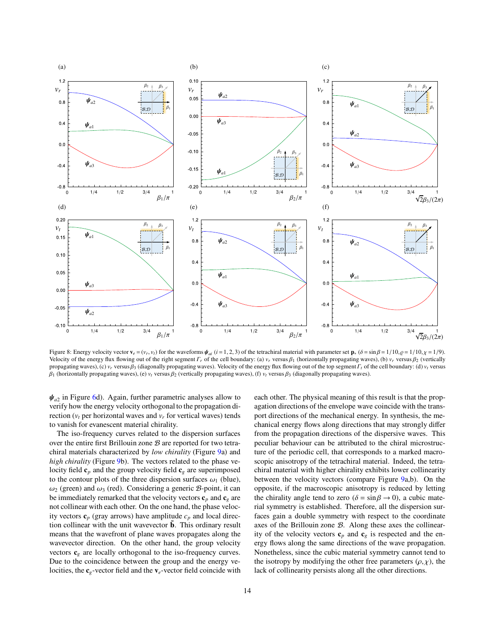

Figure 8: Energy velocity vector  $\mathbf{v}_e = (v_r, v_t)$  for the waveforms  $\psi_{di}$  (i = 1, 2, 3) of the tetrachiral material with parameter set  $\mathbf{p}_*(\delta = \sin \beta = 1/10, \rho = 1/10, \chi = 1/9)$ . Velocity of the energy flux flowing out of the right segment  $\Gamma_r$  of the cell boundary: (a)  $v_r$  versus  $\beta_1$  (horizontally propagating waves), (b)  $v_r$  versus  $\beta_2$  (vertically propagating waves), (c)  $v_r$  versus  $\beta_3$  (diagonally propagating waves). Velocity of the energy flux flowing out of the top segment  $\Gamma_t$  of the cell boundary: (d)  $v_t$  versus  $\beta_1$  (horizontally propagating waves), (e)  $v_t$  versus  $\beta_2$  (vertically propagating waves), (f)  $v_t$  versus  $\beta_3$  (diagonally propagating waves).

 $\psi_{a2}$  in Figure 6d). Again, further parametric analyses allow to verify how the energy velocity orthogonal to the propagation direction ( $v_t$  per horizontal waves and  $v_r$  for vertical waves) tends to vanish for evanescent material chirality.

The iso-frequency curves related to the dispersion surfaces over the entire first Brillouin zone  $B$  are reported for two tetrachiral materials characterized by low chirality (Figure 9a) and high chirality (Figure 9b). The vectors related to the phase velocity field  $c_p$  and the group velocity field  $c_g$  are superimposed to the contour plots of the three dispersion surfaces  $\omega_1$  (blue),  $\omega_2$  (green) and  $\omega_3$  (red). Considering a generic *B*-point, it can be immediately remarked that the velocity vectors  $\mathbf{c}_p$  and  $\mathbf{c}_g$  are not collinear with each other. On the one hand, the phase velocity vectors  $\mathbf{c}_p$  (gray arrows) have amplitude  $c_p$  and local direction collinear with the unit wavevector  $\mathbf{\hat{b}}$ . This ordinary result means that the wavefront of plane waves propagates along the wavevector direction. On the other hand, the group velocity vectors  $c_g$  are locally orthogonal to the iso-frequency curves. Due to the coincidence between the group and the energy velocities, the  $c_g$ -vector field and the  $v_e$ -vector field coincide with each other. The physical meaning of this result is that the propagation directions of the envelope wave coincide with the transport directions of the mechanical energy. In synthesis, the mechanical energy flows along directions that may strongly differ from the propagation directions of the dispersive waves. This peculiar behaviour can be attributed to the chiral microstructure of the periodic cell, that corresponds to a marked macroscopic anisotropy of the tetrachiral material. Indeed, the tetrachiral material with higher chirality exhibits lower collinearity between the velocity vectors (compare Figure 9a,b). On the opposite, if the macroscopic anisotropy is reduced by letting the chirality angle tend to zero ( $\delta = \sin \beta \rightarrow 0$ ), a cubic material symmetry is established. Therefore, all the dispersion surfaces gain a double symmetry with respect to the coordinate axes of the Brillouin zone B. Along these axes the collinearity of the velocity vectors  $\mathbf{c}_p$  and  $\mathbf{c}_g$  is respected and the energy flows along the same directions of the wave propagation. Nonetheless, since the cubic material symmetry cannot tend to the isotropy by modifying the other free parameters  $(\rho, \chi)$ , the lack of collinearity persists along all the other directions.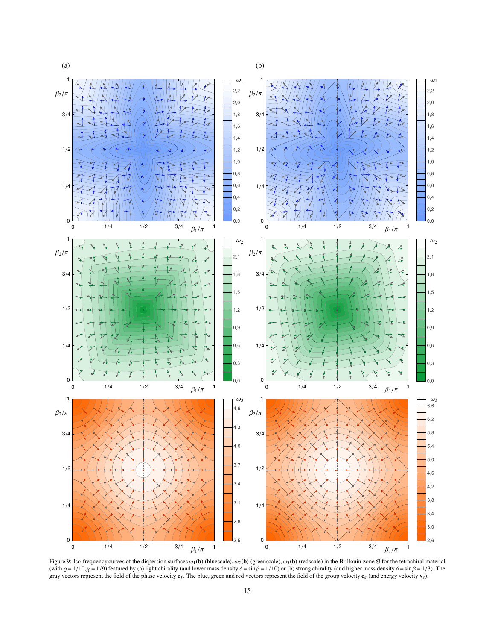

Figure 9: Iso-frequency curves of the dispersion surfaces  $\omega_1(\mathbf{b})$  (bluescale),  $\omega_2(\mathbf{b})$  (greenscale),  $\omega_3(\mathbf{b})$  (redscale) in the Brillouin zone  $\mathcal{B}$  for the tetrachiral material (with  $\rho = 1/10$ ,  $\chi = 1/9$ ) featured by (a) light chirality (and lower mass density  $\delta = \sin \beta = 1/10$ ) or (b) strong chirality (and higher mass density  $\delta = \sin \beta = 1/3$ ). The gray vectors represent the field of the phase velocity  $\mathbf{c}_f$ . The blue, green and red vectors represent the field of the group velocity  $\mathbf{c}_g$  (and energy velocity  $\mathbf{v}_e$ ).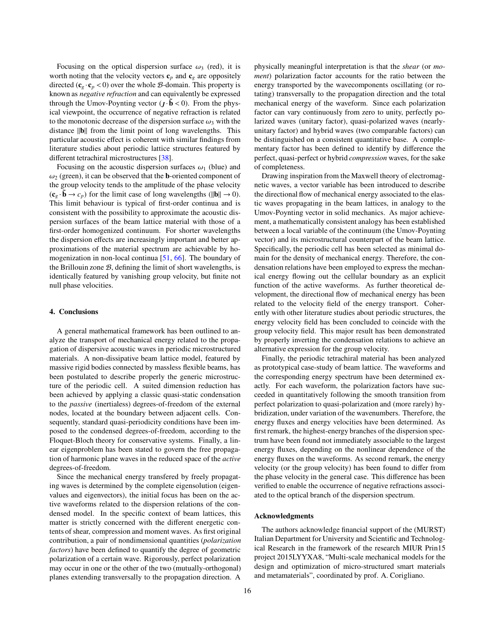Focusing on the optical dispersion surface  $\omega_3$  (red), it is worth noting that the velocity vectors  $\mathbf{c}_p$  and  $\mathbf{c}_g$  are oppositely directed  $(c_e \cdot c_p < 0)$  over the whole *B*-domain. This property is known as negative refraction and can equivalently be expressed through the Umov-Poynting vector  $(j \cdot \tilde{b} < 0)$ . From the physical viewpoint, the occurrence of negative refraction is related to the monotonic decrease of the dispersion surface  $\omega_3$  with the distance ||b|| from the limit point of long wavelengths. This particular acoustic effect is coherent with similar findings from literature studies about periodic lattice structures featured by different tetrachiral microstructures [38].

Focusing on the acoustic dispersion surfaces  $\omega_1$  (blue) and  $\omega_2$  (green), it can be observed that the **b**-oriented component of the group velocity tends to the amplitude of the phase velocity  $(c_g \cdot \mathbf{b} \to c_p)$  for the limit case of long wavelengths ( $||\mathbf{b}|| \to 0$ ). This limit behaviour is typical of first-order continua and is consistent with the possibility to approximate the acoustic dispersion surfaces of the beam lattice material with those of a first-order homogenized continuum. For shorter wavelengths the dispersion effects are increasingly important and better approximations of the material spectrum are achievable by homogenization in non-local continua [51, 66]. The boundary of the Brillouin zone  $B$ , defining the limit of short wavelengths, is identically featured by vanishing group velocity, but finite not null phase velocities.

## 4. Conclusions

A general mathematical framework has been outlined to analyze the transport of mechanical energy related to the propagation of dispersive acoustic waves in periodic microstructured materials. A non-dissipative beam lattice model, featured by massive rigid bodies connected by massless flexible beams, has been postulated to describe properly the generic microstructure of the periodic cell. A suited dimension reduction has been achieved by applying a classic quasi-static condensation to the passive (inertialess) degrees-of-freedom of the external nodes, located at the boundary between adjacent cells. Consequently, standard quasi-periodicity conditions have been imposed to the condensed degrees-of-freedom, according to the Floquet-Bloch theory for conservative systems. Finally, a linear eigenproblem has been stated to govern the free propagation of harmonic plane waves in the reduced space of the active degrees-of-freedom.

Since the mechanical energy transfered by freely propagating waves is determined by the complete eigensolution (eigenvalues and eigenvectors), the initial focus has been on the active waveforms related to the dispersion relations of the condensed model. In the specific context of beam lattices, this matter is strictly concerned with the different energetic contents of shear, compression and moment waves. As first original contribution, a pair of nondimensional quantities (polarization factors) have been defined to quantify the degree of geometric polarization of a certain wave. Rigorously, perfect polarization may occur in one or the other of the two (mutually-orthogonal) planes extending transversally to the propagation direction. A

physically meaningful interpretation is that the shear (or moment) polarization factor accounts for the ratio between the energy transported by the wavecomponents oscillating (or rotating) transversally to the propagation direction and the total mechanical energy of the waveform. Since each polarization factor can vary continuously from zero to unity, perfectly polarized waves (unitary factor), quasi-polarized waves (nearlyunitary factor) and hybrid waves (two comparable factors) can be distinguished on a consistent quantitative base. A complementary factor has been defined to identify by difference the perfect, quasi-perfect or hybrid compression waves, for the sake of completeness.

Drawing inspiration from the Maxwell theory of electromagnetic waves, a vector variable has been introduced to describe the directional flow of mechanical energy associated to the elastic waves propagating in the beam lattices, in analogy to the Umov-Poynting vector in solid mechanics. As major achievement, a mathematically consistent analogy has been established between a local variable of the continuum (the Umov-Poynting vector) and its microstructural counterpart of the beam lattice. Specifically, the periodic cell has been selected as minimal domain for the density of mechanical energy. Therefore, the condensation relations have been employed to express the mechanical energy flowing out the cellular boundary as an explicit function of the active waveforms. As further theoretical development, the directional flow of mechanical energy has been related to the velocity field of the energy transport. Coherently with other literature studies about periodic structures, the energy velocity field has been concluded to coincide with the group velocity field. This major result has been demonstrated by properly inverting the condensation relations to achieve an alternative expression for the group velocity.

Finally, the periodic tetrachiral material has been analyzed as prototypical case-study of beam lattice. The waveforms and the corresponding energy spectrum have been determined exactly. For each waveform, the polarization factors have succeeded in quantitatively following the smooth transition from perfect polarization to quasi-polarization and (more rarely) hybridization, under variation of the wavenumbers. Therefore, the energy fluxes and energy velocities have been determined. As first remark, the highest-energy branches of the dispersion spectrum have been found not immediately associable to the largest energy fluxes, depending on the nonlinear dependence of the energy fluxes on the waveforms. As second remark, the energy velocity (or the group velocity) has been found to differ from the phase velocity in the general case. This difference has been verified to enable the occurrence of negative refractions associated to the optical branch of the dispersion spectrum.

## Acknowledgments

The authors acknowledge financial support of the (MURST) Italian Department for University and Scientific and Technological Research in the framework of the research MIUR Prin15 project 2015LYYXA8, "Multi-scale mechanical models for the design and optimization of micro-structured smart materials and metamaterials", coordinated by prof. A. Corigliano.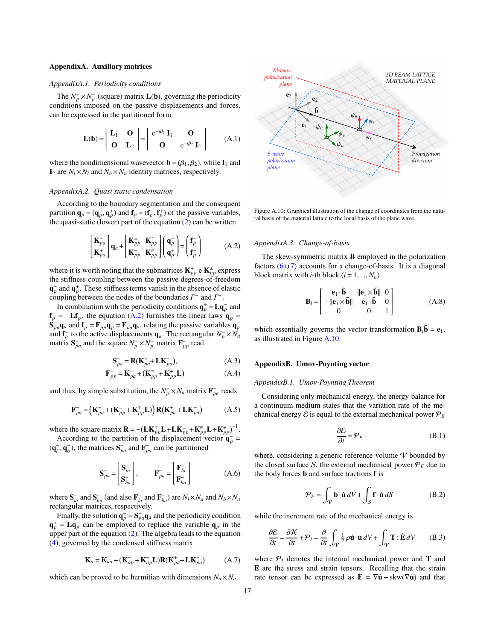## AppendixA. Auxiliary matrices

## AppendixA.1. Periodicity conditions

The  $N_p^+ \times N_p^-$  (square) matrix **L(b)**, governing the periodicity conditions imposed on the passive displacements and forces, can be expressed in the partitioned form

$$
\mathbf{L}(\mathbf{b}) = \begin{bmatrix} \mathbf{L}_1 & \mathbf{O} \\ \mathbf{O} & \mathbf{L}_2 \end{bmatrix} = \begin{bmatrix} e^{-i\beta_1} \mathbf{I}_1 & \mathbf{O} \\ \mathbf{O} & e^{-i\beta_2} \mathbf{I}_2 \end{bmatrix}
$$
 (A.1)

where the nondimensional wavevector  $\mathbf{b} = (\beta_1, \beta_2)$ , while  $\mathbf{I}_1$  and  $I_2$  are  $N_l \times N_l$  and  $N_b \times N_b$  identity matrices, respectively.

#### AppendixA.2. Quasi static condensation

According to the boundary segmentation and the consequent partition  $\mathbf{q}_p = (\mathbf{q}_p^-, \mathbf{q}_p^+)$  and  $\mathbf{f}_p = (\mathbf{f}_p^-, \mathbf{f}_p^+)$  of the passive variables, the quasi-static (lower) part of the equation (2) can be written

$$
\begin{bmatrix} \mathbf{K}_{pa}^{-} \\ \mathbf{K}_{pa}^{+} \end{bmatrix} \mathbf{q}_{a} + \begin{bmatrix} \mathbf{K}_{pp}^{-} & \mathbf{K}_{pp}^{+} \\ \mathbf{K}_{pp}^{+} & \mathbf{K}_{pp}^{+} \end{bmatrix} \begin{bmatrix} \mathbf{q}_{p}^{-} \\ \mathbf{q}_{p}^{+} \end{bmatrix} = \begin{bmatrix} \mathbf{f}_{p}^{-} \\ \mathbf{f}_{p}^{+} \end{bmatrix}
$$
 (A.2)

where it is worth noting that the submatrices  $\mathbf{K}_{pp}^{\pm}$  e  $\mathbf{K}_{pp}^{\pm}$  express the stiffness coupling between the passive degrees-of-freedom  $\mathbf{q}_p^-$  and  $\mathbf{q}_p^+$ . These stiffness terms vanish in the absence of elastic coupling between the nodes of the boundaries  $\Gamma^-$  and  $\Gamma^+$ .

In combination with the periodicity conditions  $\mathbf{q}_p^+ = \mathbf{L}\mathbf{q}_p^-$  and  $f_p^+ = -Lf_p^-$ , the equation (A.2) furnishes the linear laws  $q_p^-$  =  $S_{pa}^- q_a$  and  $f_p^- = F_{pp}^- q_p^- = F_{pa}^- q_a$ , relating the passive variables  $q_p^$ and  $\mathbf{f}_p^-$  to the active displacements  $\mathbf{q}_a$ . The rectangular  $N_p^- \times N_a$ matrix  $S_{pa}^-$  and the square  $N_p^- \times N_p^-$  matrix  $F_{pp}^-$  read

$$
\mathbf{S}_{pa}^{-} = \mathbf{R}(\mathbf{K}_{pa}^{+} + \mathbf{L}\mathbf{K}_{pa}^{-}),
$$
 (A.3)

$$
\mathbf{F}_{pp}^{-} = \mathbf{K}_{pa}^{-} + (\mathbf{K}_{pp}^{-} + \mathbf{K}_{pp}^{-} \mathbf{L})
$$
 (A.4)

and thus, by simple substitution, the  $N_p^- \times N_a$  matrix  $\mathbf{F}_{pa}^-$  reads

$$
\mathbf{F}_{pa}^{-} = (\mathbf{K}_{pa}^{-} + (\mathbf{K}_{pp}^{-} + \mathbf{K}_{pp}^{+} \mathbf{L}) ) \mathbf{R} (\mathbf{K}_{pa}^{+} + \mathbf{L} \mathbf{K}_{pa}^{-})
$$
(A.5)

where the square matrix  $\mathbf{R} = -(\mathbf{L}\mathbf{K}_{pp}^{\text{T}}\mathbf{L} + \mathbf{L}\mathbf{K}_{pp}^{\text{T}} + \mathbf{K}_{pp}^{\text{\#}}\mathbf{L} + \mathbf{K}_{pp}^{\text{\#}})^{-1}$ .

According to the partition of the displacement vector  $\mathbf{q}_p^-$  =  $(q_l^-, q_b^-)$ , the matrices  $S_{pa}^-$  and  $F_{pa}^-$  can be partitioned

$$
\mathbf{S}_{pa}^{-} = \begin{bmatrix} \mathbf{S}_{la}^{-} \\ \mathbf{S}_{ba}^{-} \end{bmatrix}, \qquad \mathbf{F}_{pa}^{-} = \begin{bmatrix} \mathbf{F}_{la}^{-} \\ \mathbf{F}_{ba}^{-} \end{bmatrix}
$$
 (A.6)

where  $S_{la}^-$  and  $S_{ba}^-$  (and also  $F_{la}^-$  and  $F_{ba}^-$ ) are  $N_l \times N_a$  and  $N_b \times N_a$ rectangular matrices, respectively.

Finally, the solution  $\mathbf{q}_p^- = \mathbf{S}_{pa}^- \mathbf{q}_a$  and the periodicity condition  $\mathbf{q}_p^+ = \mathbf{L}\mathbf{q}_p^-$  can be employed to replace the variable  $\mathbf{q}_p$  in the upper part of the equation (2). The algebra leads to the equation (4), governed by the condensed stiffness matrix

$$
\mathbf{K}_a = \mathbf{K}_{aa} + (\mathbf{K}_{ap}^- + \mathbf{K}_{ap}^+) \mathbf{R} (\mathbf{K}_{pa}^+ + \mathbf{L} \mathbf{K}_{pa}^-) \tag{A.7}
$$

which can be proved to be hermitian with dimensions  $N_a \times N_a$ .



Figure A.10: Graphical illustration of the change of coordinates from the natural basis of the material lattice to the local basis of the plane wave.

#### AppendixA.3. Change-of-basis

The skew-symmetric matrix **B** employed in the polarization factors  $(6)$ ,  $(7)$  accounts for a change-of-basis. It is a diagonal block matrix with *i*-th block  $(i = 1, ..., N_n)$ 

$$
\mathbf{B}_{i} = \begin{bmatrix} \mathbf{e}_{1} \cdot \tilde{\mathbf{b}} & \|\mathbf{e}_{1} \times \tilde{\mathbf{b}}\| & 0 \\ -\|\mathbf{e}_{1} \times \tilde{\mathbf{b}}\| & \mathbf{e}_{1} \cdot \tilde{\mathbf{b}} & 0 \\ 0 & 0 & 1 \end{bmatrix}
$$
(A.8)

which essentially governs the vector transformation  $\mathbf{B}_i \tilde{\mathbf{b}} = \mathbf{e}_1$ , as illustrated in Figure A.10.

## AppendixB. Umov-Poynting vector

## AppendixB.1. Umov-Poynting Theorem

Considering only mechanical energy, the energy balance for a continuum medium states that the variation rate of the mechanical energy  $\mathcal E$  is equal to the external mechanical power  $\mathcal P_E$ 

$$
\frac{\partial \mathcal{E}}{\partial t} = \mathcal{P}_E \tag{B.1}
$$

where, considering a generic reference volume  $\mathcal V$  bounded by the closed surface S, the external mechanical power  $P_E$  due to the body forces b and surface tractions f is

$$
\mathcal{P}_E = \int_{\mathcal{V}} \mathbf{b} \cdot \dot{\mathbf{u}} \, dV + \int_{\mathcal{S}} \mathbf{f} \cdot \dot{\mathbf{u}} \, dS \tag{B.2}
$$

while the increment rate of the mechanical energy is

$$
\frac{\partial \mathcal{E}}{\partial t} = \frac{\partial \mathcal{K}}{\partial t} + \mathcal{P}_I = \frac{\partial}{\partial t} \int_{\mathcal{V}} \frac{1}{2} \rho \dot{\mathbf{u}} \cdot \dot{\mathbf{u}} \, dV + \int_{\mathcal{V}} \mathbf{T} : \dot{\mathbf{E}} \, dV \qquad (B.3)
$$

where  $P_I$  denotes the internal mechanical power and **T** and E are the stress and strain tensors. Recalling that the strain rate tensor can be expressed as  $\mathbf{\vec{E}} = \nabla \dot{\mathbf{u}} - s \text{kw}(\nabla \dot{\mathbf{u}})$  and that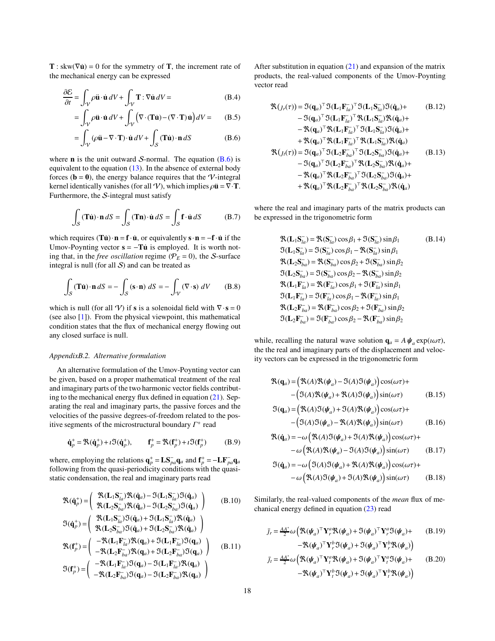$T : skw(\nabla \dot{u}) = 0$  for the symmetry of T, the increment rate of the mechanical energy can be expressed

$$
\frac{\partial \mathcal{E}}{\partial t} = \int_{\mathcal{V}} \rho \ddot{\mathbf{u}} \cdot \dot{\mathbf{u}} \, dV + \int_{\mathcal{V}} \mathbf{T} \cdot \nabla \dot{\mathbf{u}} \, dV =
$$
\n(B.4)

$$
= \int_{V} \rho \ddot{\mathbf{u}} \cdot \dot{\mathbf{u}} \, dV + \int_{V} \left( \nabla \cdot (\mathbf{T} \dot{\mathbf{u}}) - (\nabla \cdot \mathbf{T}) \dot{\mathbf{u}} \right) dV = \qquad (B.5)
$$

$$
= \int_{\mathcal{V}} (\rho \ddot{\mathbf{u}} - \nabla \cdot \mathbf{T}) \cdot \dot{\mathbf{u}} \, dV + \int_{\mathcal{S}} (\mathbf{T} \dot{\mathbf{u}}) \cdot \mathbf{n} \, dS \tag{B.6}
$$

where **n** is the unit outward S-normal. The equation  $(B.6)$  is equivalent to the equation (13). In the absence of external body forces ( $\mathbf{b} = \mathbf{0}$ ), the energy balance requires that the V-integral kernel identically vanishes (for all V), which implies  $\rho \ddot{\mathbf{u}} = \nabla \cdot \mathbf{T}$ . Furthermore, the S-integral must satisfy

$$
\int_{S} (\mathbf{T}\dot{\mathbf{u}}) \cdot \mathbf{n} \, dS = \int_{S} (\mathbf{T}\mathbf{n}) \cdot \dot{\mathbf{u}} \, dS = \int_{S} \mathbf{f} \cdot \dot{\mathbf{u}} \, dS \tag{B.7}
$$

which requires (Tŭ)·n = f · ǔ, or equivalently  $\mathbf{s} \cdot \mathbf{n} = -\mathbf{f} \cdot \mathbf{u}$  if the Umov-Poynting vector  $s = -Tu$  is employed. It is worth noting that, in the *free oscillation* regime ( $P_E = 0$ ), the *S*-surface integral is null (for all  $S$ ) and can be treated as

$$
\int_{S} (\mathbf{T}\dot{\mathbf{u}}) \cdot \mathbf{n} \, dS = -\int_{S} (\mathbf{s} \cdot \mathbf{n}) \, dS = -\int_{\mathcal{V}} (\nabla \cdot \mathbf{s}) \, dV \qquad (B.8)
$$

which is null (for all V) if s is a solenoidal field with  $\nabla \cdot \mathbf{s} = 0$ (see also [1]). From the physical viewpoint, this mathematical condition states that the flux of mechanical energy flowing out any closed surface is null.

#### AppendixB.2. Alternative formulation

An alternative formulation of the Umov-Poynting vector can be given, based on a proper mathematical treatment of the real and imaginary parts of the two harmonic vector fields contributing to the mechanical energy flux defined in equation  $(21)$ . Separating the real and imaginary parts, the passive forces and the velocities of the passive degrees-of-freedom related to the positive segments of the microstructural boundary  $\Gamma^+$  read

$$
\dot{\mathbf{q}}_p^+ = \mathcal{R}(\dot{\mathbf{q}}_p^+) + \imath \mathcal{I}(\dot{\mathbf{q}}_p^+), \qquad \mathbf{f}_p^+ = \mathcal{R}(\mathbf{f}_p^+) + \imath \mathcal{I}(\mathbf{f}_p^+) \tag{B.9}
$$

where, employing the relations  $\mathbf{q}_p^+ = \mathbf{L}\mathbf{S}_{pa}^- \mathbf{q}_a$  and  $\mathbf{f}_p^+ = -\mathbf{L}\mathbf{F}_{pa}^- \mathbf{q}_a$ following from the quasi-periodicity conditions with the quasistatic condensation, the real and imaginary parts read

$$
\mathbf{\mathcal{R}}(\dot{\mathbf{q}}_{p}^{+}) = \begin{pmatrix} \mathbf{\mathcal{R}}(\mathbf{L}_{1}\mathbf{S}_{la}^{-})\mathbf{\mathcal{R}}(\dot{\mathbf{q}}_{a}) - \mathbf{\mathcal{I}}(\mathbf{L}_{1}\mathbf{S}_{la}^{-})\mathbf{\mathcal{I}}(\dot{\mathbf{q}}_{a}) \\ \mathbf{\mathcal{R}}(\mathbf{L}_{2}\mathbf{S}_{ba}^{-})\mathbf{\mathcal{R}}(\dot{\mathbf{q}}_{a}) - \mathbf{\mathcal{I}}(\mathbf{L}_{2}\mathbf{S}_{ba}^{-})\mathbf{\mathcal{I}}(\dot{\mathbf{q}}_{a}) \end{pmatrix} \qquad (B.10)
$$
\n
$$
\mathbf{\mathcal{I}}(\dot{\mathbf{q}}_{p}^{+}) = \begin{pmatrix} \mathbf{\mathcal{R}}(\mathbf{L}_{1}\mathbf{S}_{la}^{-})\mathbf{\mathcal{I}}(\dot{\mathbf{q}}_{a}) - \mathbf{\mathcal{I}}(\mathbf{L}_{2}\mathbf{S}_{ba}^{-})\mathbf{\mathcal{I}}(\dot{\mathbf{q}}_{a}) \\ \mathbf{\mathcal{R}}(\mathbf{L}_{2}\mathbf{S}_{ba}^{-})\mathbf{\mathcal{I}}(\dot{\mathbf{q}}_{a}) + \mathbf{\mathcal{I}}(\mathbf{L}_{1}\mathbf{S}_{la}^{-})\mathbf{\mathcal{R}}(\dot{\mathbf{q}}_{a}) \\ \mathbf{\mathcal{R}}(\mathbf{f}_{p}^{+}) = \begin{pmatrix} -\mathbf{\mathcal{R}}(\mathbf{L}_{1}\mathbf{F}_{la}^{-})\mathbf{\mathcal{R}}(\mathbf{q}_{a}) + \mathbf{\mathcal{I}}(\mathbf{L}_{1}\mathbf{F}_{la}^{-})\mathbf{\mathcal{I}}(\mathbf{q}_{a}) \\ -\mathbf{\mathcal{R}}(\mathbf{L}_{2}\mathbf{F}_{ba}^{-})\mathbf{\mathcal{R}}(\mathbf{q}_{a}) + \mathbf{\mathcal{I}}(\mathbf{L}_{2}\mathbf{F}_{ba}^{-})\mathbf{\mathcal{I}}(\mathbf{q}_{a}) \end{pmatrix} \qquad (B.11)
$$
\n
$$
\mathbf{\mathcal{I}}(\mathbf{f}_{p}^{+}) = \begin{pmatrix} -\mathbf{\mathcal{R}}(\mathbf{L}_{1}\mathbf{F}_{la}^{-})\mathbf{\mathcal{I}}(\mathbf{q}_{a}) - \mathbf
$$

After substitution in equation  $(21)$  and expansion of the matrix products, the real-valued components of the Umov-Poynting vector read

$$
\mathfrak{R}(j_r(\tau)) = \mathfrak{I}(\mathbf{q}_a)^{\top} \mathfrak{I}(\mathbf{L}_1 \mathbf{F}_{la}^{\top})^{\top} \mathfrak{I}(\mathbf{L}_1 \mathbf{S}_{la}^{\top}) \mathfrak{I}(\dot{\mathbf{q}}_a) +
$$
\n
$$
- \mathfrak{I}(\mathbf{q}_a)^{\top} \mathfrak{I}(\mathbf{L}_1 \mathbf{F}_{la}^{\top})^{\top} \mathfrak{R}(\mathbf{L}_1 \mathbf{S}_{la}^{\top}) \mathfrak{R}(\dot{\mathbf{q}}_a) +
$$
\n
$$
- \mathfrak{R}(\mathbf{q}_a)^{\top} \mathfrak{R}(\mathbf{L}_1 \mathbf{F}_{la}^{\top})^{\top} \mathfrak{I}(\mathbf{L}_1 \mathbf{S}_{la}^{\top}) \mathfrak{R}(\dot{\mathbf{q}}_a) +
$$
\n
$$
+ \mathfrak{R}(\mathbf{q}_a)^{\top} \mathfrak{R}(\mathbf{L}_1 \mathbf{F}_{la}^{\top})^{\top} \mathfrak{I}(\mathbf{L}_1 \mathbf{S}_{la}^{\top}) \mathfrak{I}(\dot{\mathbf{q}}_a) +
$$
\n
$$
+ \mathfrak{R}(\mathbf{q}_a)^{\top} \mathfrak{R}(\mathbf{L}_1 \mathbf{F}_{la}^{\top})^{\top} \mathfrak{R}(\mathbf{L}_1 \mathbf{S}_{la}^{\top}) \mathfrak{R}(\dot{\mathbf{q}}_a)
$$
\n
$$
\mathfrak{R}(j_r(\tau)) = \mathfrak{I}(\mathbf{q}_a)^{\top} \mathfrak{I}(\mathbf{L}_2 \mathbf{F}_{ba}^{\top})^{\top} \mathfrak{I}(\mathbf{L}_2 \mathbf{S}_{ba}^{\top}) \mathfrak{I}(\dot{\mathbf{q}}_a) +
$$
\n
$$
- \mathfrak{I}(\mathbf{q}_a)^{\top} \mathfrak{I}(\mathbf{L}_2 \mathbf{F}_{ba}^{\top})^{\top} \mathfrak{I}(\mathbf{L}_2 \mathbf{S}_{ba}^{\top}) \mathfrak{I}(\dot{\mathbf{q}}_a) +
$$
\n
$$
- \mathfrak{R}(\mathbf
$$

where the real and imaginary parts of the matrix products can be expressed in the trigonometric form

$$
\mathfrak{R}(\mathbf{L}_{1}\mathbf{S}_{la}^{-}) = \mathfrak{R}(\mathbf{S}_{la}^{-}) \cos \beta_{1} + \mathfrak{I}(\mathbf{S}_{la}^{-}) \sin \beta_{1}
$$
\n
$$
\mathfrak{I}(\mathbf{L}_{1}\mathbf{S}_{la}^{-}) = \mathfrak{I}(\mathbf{S}_{la}^{-}) \cos \beta_{1} - \mathfrak{R}(\mathbf{S}_{la}^{-}) \sin \beta_{1}
$$
\n
$$
\mathfrak{R}(\mathbf{L}_{2}\mathbf{S}_{Da}^{-}) = \mathfrak{R}(\mathbf{S}_{ba}^{-}) \cos \beta_{2} + \mathfrak{I}(\mathbf{S}_{ba}^{-}) \sin \beta_{2}
$$
\n
$$
\mathfrak{I}(\mathbf{L}_{2}\mathbf{S}_{ba}^{-}) = \mathfrak{I}(\mathbf{S}_{ba}^{-}) \cos \beta_{2} - \mathfrak{R}(\mathbf{S}_{ba}^{-}) \sin \beta_{2}
$$
\n
$$
\mathfrak{R}(\mathbf{L}_{1}\mathbf{F}_{la}^{-}) = \mathfrak{R}(\mathbf{F}_{la}^{-}) \cos \beta_{1} + \mathfrak{I}(\mathbf{F}_{la}^{-}) \sin \beta_{1}
$$
\n
$$
\mathfrak{I}(\mathbf{L}_{1}\mathbf{F}_{la}^{-}) = \mathfrak{I}(\mathbf{F}_{la}^{-}) \cos \beta_{1} - \mathfrak{R}(\mathbf{F}_{la}^{-}) \sin \beta_{1}
$$
\n
$$
\mathfrak{R}(\mathbf{L}_{2}\mathbf{F}_{ba}^{-}) = \mathfrak{R}(\mathbf{F}_{ba}^{-}) \cos \beta_{2} + \mathfrak{I}(\mathbf{F}_{ba}^{-}) \sin \beta_{2}
$$
\n
$$
\mathfrak{I}(\mathbf{L}_{2}\mathbf{F}_{ba}^{-}) = \mathfrak{I}(\mathbf{F}_{ba}^{-}) \cos \beta_{2} - \mathfrak{R}(\mathbf{F}_{ba}^{-}) \sin \beta_{2}
$$
\n
$$
\mathfrak{I}(\mathbf{L}_{2}\mathbf{F}_{ba}^{-}) = \mathfrak{I}(\mathbf{F}_{ba}^{-}) \cos \beta_{2} - \mathfrak{R}(\mathbf{F}_{ba}^{-}) \sin \beta_{2}
$$

while, recalling the natural wave solution  $\mathbf{q}_a = A \psi_a \exp(i \omega \tau)$ , the the real and imaginary parts of the displacement and velocity vectors can be expressed in the trigonometric form

$$
\mathfrak{R}(\mathbf{q}_a) = (\mathfrak{R}(A)\mathfrak{R}(\psi_a) - \mathfrak{I}(A)\mathfrak{I}(\psi_a))\cos(\omega\tau) + -(\mathfrak{I}(A)\mathfrak{R}(\psi_a) + \mathfrak{R}(A)\mathfrak{I}(\psi_a))\sin(\omega\tau)
$$
(B.15)

$$
\mathfrak{I}(\mathbf{q}_a) = (\mathfrak{R}(A)\mathfrak{I}(\psi_a) + \mathfrak{I}(A)\mathfrak{R}(\psi_a))\cos(\omega\tau) + -(\mathfrak{I}(A)\mathfrak{I}(\psi_a) - \mathfrak{R}(A)\mathfrak{R}(\psi_a))\sin(\omega\tau)
$$
(B.16)

$$
\mathcal{R}(\dot{\mathbf{q}}_a) = -\omega \left( \mathcal{R}(A) \mathfrak{I}(\boldsymbol{\psi}_a) + \mathfrak{I}(A) \mathcal{R}(\boldsymbol{\psi}_a) \right) \cos(\omega \tau) + \n- \omega \left( \mathcal{R}(A) \mathcal{R}(\boldsymbol{\psi}_a) - \mathfrak{I}(A) \mathfrak{I}(\boldsymbol{\psi}_a) \right) \sin(\omega \tau) \tag{B.17}
$$

$$
\mathfrak{I}(\dot{\mathbf{q}}_a) = -\omega \left( \mathfrak{I}(A) \mathfrak{I}(\psi_a) + \mathfrak{R}(A) \mathfrak{R}(\psi_a) \right) \cos(\omega \tau) +
$$
  
 
$$
-\omega \left( \mathfrak{R}(A) \mathfrak{I}(\psi_a) + \mathfrak{I}(A) \mathfrak{R}(\psi_a) \right) \sin(\omega \tau) \qquad (B.18)
$$

Similarly, the real-valued components of the mean flux of mechanical energy defined in equation (23) read

$$
\bar{j}_r = \frac{A A^*}{2} \omega \left( \mathbf{\hat{R}}(\boldsymbol{\psi}_a)^{\top} \mathbf{Y}_r^a \mathbf{\hat{R}}(\boldsymbol{\psi}_a) + \mathbf{\tilde{J}}(\boldsymbol{\psi}_a)^{\top} \mathbf{Y}_r^a \mathbf{\tilde{J}}(\boldsymbol{\psi}_a) + \right. \tag{B.19}
$$
\n
$$
- \mathbf{\hat{R}}(\boldsymbol{\psi}_a)^{\top} \mathbf{Y}_r^b \mathbf{\tilde{J}}(\boldsymbol{\psi}_a) + \mathbf{\tilde{J}}(\boldsymbol{\psi}_a)^{\top} \mathbf{Y}_r^b \mathbf{\tilde{R}}(\boldsymbol{\psi}_a) \right)
$$

$$
\bar{J}_t = \frac{A A^*}{2} \omega \left( \mathbf{\tilde{R}}(\psi_a)^{\top} \mathbf{Y}_t^a \mathbf{\tilde{R}}(\psi_a) + \mathfrak{I}(\psi_a)^{\top} \mathbf{Y}_t^a \mathfrak{I}(\psi_a) + -\mathbf{\tilde{R}}(\psi_a)^{\top} \mathbf{Y}_t^b \mathfrak{I}(\psi_a) + \mathfrak{I}(\psi_a)^{\top} \mathbf{Y}_t^b \mathbf{\tilde{R}}(\psi_a) \right)
$$
(B.20)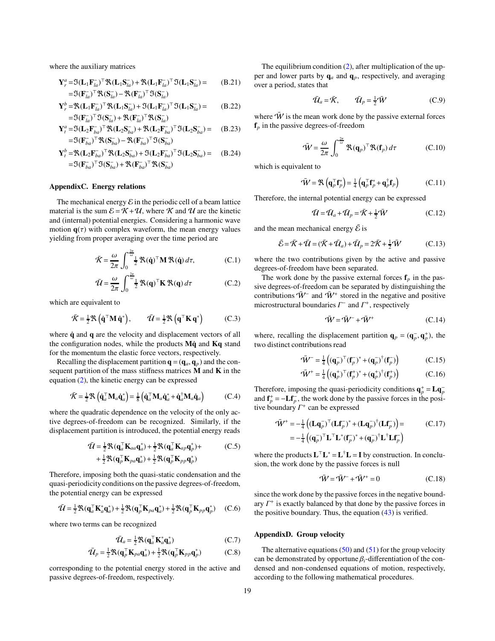where the auxiliary matrices

$$
\mathbf{Y}_r^a = \mathfrak{I}(\mathbf{L}_1 \mathbf{F}_{la}^-)^{\top} \mathfrak{R}(\mathbf{L}_1 \mathbf{S}_{la}^-) + \mathfrak{R}(\mathbf{L}_1 \mathbf{F}_{la}^-)^{\top} \mathfrak{I}(\mathbf{L}_1 \mathbf{S}_{la}^-) =
$$
(B.21)  
=  $\mathfrak{I}(\mathbf{F}_{la}^-)^{\top} \mathfrak{R}(\mathbf{S}_{la}^-) - \mathfrak{R}(\mathbf{F}_{la}^-)^{\top} \mathfrak{I}(\mathbf{S}_{la}^-)$ 

$$
\mathbf{Y}_r^b = \mathcal{R}(\mathbf{L}_1 \mathbf{F}_{la}^-)^{\top} \mathcal{R}(\mathbf{L}_1 \mathbf{S}_{la}^-) + \mathcal{I}(\mathbf{L}_1 \mathbf{F}_{la}^-)^{\top} \mathcal{I}(\mathbf{L}_1 \mathbf{S}_{la}^-) =
$$
\n
$$
= \mathcal{I}(\mathbf{F}_{la}^-)^{\top} \mathcal{I}(\mathbf{S}_{la}^-) + \mathcal{R}(\mathbf{F}_{la}^-)^{\top} \mathcal{R}(\mathbf{S}_{la}^-)
$$
\n(B.22)

$$
\mathbf{Y}_{t}^{a} = \mathfrak{I}(\mathbf{L}_{2}\mathbf{F}_{ba}^{-})^{\top}\mathfrak{R}(\mathbf{L}_{2}\mathbf{S}_{ba}^{-}) + \mathfrak{R}(\mathbf{L}_{2}\mathbf{F}_{ba}^{-})^{\top}\mathfrak{I}(\mathbf{L}_{2}\mathbf{S}_{ba}^{-}) = (B.23)
$$

$$
= \mathfrak{I}(\mathbf{F}_{ba}^{-})^{\top}\mathfrak{R}(\mathbf{S}_{ba}^{-}) - \mathfrak{R}(\mathbf{F}_{ba}^{-})^{\top}\mathfrak{I}(\mathbf{S}_{ba}^{-})
$$

$$
\mathbf{Y}_{t}^{b} = \mathcal{R}(\mathbf{L}_{2}\mathbf{F}_{ba}^{-})^{\top} \mathcal{R}(\mathbf{L}_{2}\mathbf{S}_{ba}^{-}) + \mathcal{I}(\mathbf{L}_{2}\mathbf{F}_{ba}^{-})^{\top} \mathcal{I}(\mathbf{L}_{2}\mathbf{S}_{ba}^{-}) = (B.24)
$$
  
=  $\mathcal{I}(\mathbf{F}_{ba}^{-})^{\top} \mathcal{I}(\mathbf{S}_{ba}^{-}) + \mathcal{R}(\mathbf{F}_{ba}^{-})^{\top} \mathcal{R}(\mathbf{S}_{ba}^{-})$ 

## AppendixC. Energy relations

The mechanical energy  $\mathcal E$  in the periodic cell of a beam lattice material is the sum  $\mathcal{E} = \mathcal{K} + \mathcal{U}$ , where  $\mathcal K$  and  $\mathcal U$  are the kinetic and (internal) potential energies. Considering a harmonic wave motion  $q(\tau)$  with complex waveform, the mean energy values yielding from proper averaging over the time period are

$$
\bar{\mathcal{K}} = \frac{\omega}{2\pi} \int_0^{\frac{2\pi}{\omega}} \frac{1}{2} \mathcal{R}(\dot{\mathbf{q}})^\top \mathbf{M} \mathcal{R}(\dot{\mathbf{q}}) d\tau, \tag{C.1}
$$

$$
\bar{\mathbf{U}} = \frac{\omega}{2\pi} \int_0^{\frac{2\pi}{\omega}} \frac{1}{2} \mathbf{\mathcal{R}}(\mathbf{q})^\top \mathbf{K} \mathbf{\mathcal{R}}(\mathbf{q}) d\tau
$$
 (C.2)

which are equivalent to

$$
\bar{\mathcal{K}} = \frac{1}{2} \mathfrak{R} \left( \dot{\mathbf{q}}^{\top} \mathbf{M} \dot{\mathbf{q}}^* \right), \qquad \bar{\mathcal{U}} = \frac{1}{2} \mathfrak{R} \left( \mathbf{q}^{\top} \mathbf{K} \mathbf{q}^* \right) \tag{C.3}
$$

where  $\dot{q}$  and  $q$  are the velocity and displacement vectors of all the configuration nodes, while the products  $M\dot{q}$  and  $Kq$  stand for the momentum the elastic force vectors, respectively.

Recalling the displacement partition  $\mathbf{q} = (\mathbf{q}_a, \mathbf{q}_p)$  and the consequent partition of the mass stiffness matrices  $M$  and  $K$  in the equation (2), the kinetic energy can be expressed

$$
\bar{\mathcal{K}} = \frac{1}{2} \mathcal{R} \left( \dot{\mathbf{q}}_a^{\top} \mathbf{M}_a \dot{\mathbf{q}}_a^* \right) = \frac{1}{8} \left( \dot{\mathbf{q}}_a^{\top} \mathbf{M}_a \dot{\mathbf{q}}_a^* + \dot{\mathbf{q}}_a^{\top} \mathbf{M}_a \dot{\mathbf{q}}_a \right) \tag{C.4}
$$

where the quadratic dependence on the velocity of the only active degrees-of-freedom can be recognized. Similarly, if the displacement partition is introduced, the potential energy reads

$$
\bar{\mathbf{U}} = \frac{1}{2} \mathbf{\mathcal{R}} (\mathbf{q}_a^{\top} \mathbf{K}_{aa} \mathbf{q}_a^*) + \frac{1}{2} \mathbf{\mathcal{R}} (\mathbf{q}_a^{\top} \mathbf{K}_{ap} \mathbf{q}_p^*) + \n+ \frac{1}{2} \mathbf{\mathcal{R}} (\mathbf{q}_p^{\top} \mathbf{K}_{pa} \mathbf{q}_a^*) + \frac{1}{2} \mathbf{\mathcal{R}} (\mathbf{q}_p^{\top} \mathbf{K}_{pp} \mathbf{q}_p^*)
$$
\n(C.5)

Therefore, imposing both the quasi-static condensation and the quasi-periodicity conditions on the passive degrees-of-freedom, the potential energy can be expressed

$$
\bar{\mathbf{U}} = \frac{1}{2} \mathbf{\mathcal{R}} (\mathbf{q}_a^{\top} \mathbf{K}_a^* \mathbf{q}_a^*) + \frac{1}{2} \mathbf{\mathcal{R}} (\mathbf{q}_p^{\top} \mathbf{K}_{pa} \mathbf{q}_a^*) + \frac{1}{2} \mathbf{\mathcal{R}} (\mathbf{q}_p^{\top} \mathbf{K}_{pp} \mathbf{q}_p^*) \quad (C.6)
$$

where two terms can be recognized

$$
\bar{\mathbf{U}}_a = \frac{1}{2} \mathbf{\mathcal{R}} (\mathbf{q}_a^{\top} \mathbf{K}_a^* \mathbf{q}_a^*)
$$
 (C.7)

$$
\bar{\mathbf{U}}_p = \frac{1}{2} \mathbf{\mathcal{R}} (\mathbf{q}_p^{\top} \mathbf{K}_{pa} \mathbf{q}_a^*) + \frac{1}{2} \mathbf{\mathcal{R}} (\mathbf{q}_p^{\top} \mathbf{K}_{pp} \mathbf{q}_p^*)
$$
 (C.8)

corresponding to the potential energy stored in the active and passive degrees-of-freedom, respectively.

The equilibrium condition  $(2)$ , after multiplication of the upper and lower parts by  $\mathbf{q}_a$  and  $\mathbf{q}_p$ , respectively, and averaging over a period, states that

$$
\bar{\mathbf{U}}_a = \bar{\mathbf{K}}, \qquad \bar{\mathbf{U}}_p = \frac{1}{2} \bar{\mathbf{W}} \tag{C.9}
$$

where  $\overline{W}$  is the mean work done by the passive external forces  $f<sub>p</sub>$  in the passive degrees-of-freedom

$$
\tilde{W} = \frac{\omega}{2\pi} \int_0^{\frac{2\pi}{\omega}} \mathfrak{R}(\mathbf{q}_p)^\top \mathfrak{R}(\mathbf{f}_p) d\tau
$$
 (C.10)

which is equivalent to

$$
\tilde{\mathbf{W}} = \mathbf{\mathcal{R}} \left( \mathbf{q}_p^{\top} \mathbf{f}_p^* \right) = \frac{1}{4} \left( \mathbf{q}_p^{\top} \mathbf{f}_p^* + \mathbf{q}_p^{\dagger} \mathbf{f}_p \right) \tag{C.11}
$$

Therefore, the internal potential energy can be expressed

$$
\bar{\mathbf{U}} = \bar{\mathbf{U}}_a + \bar{\mathbf{U}}_p = \bar{\mathbf{K}} + \frac{1}{2}\bar{\mathbf{W}} \tag{C.12}
$$

and the mean mechanical energy  $\bar{\mathcal{E}}$  is

$$
\bar{\mathcal{E}} = \bar{\mathcal{K}} + \bar{\mathcal{U}} = (\bar{\mathcal{K}} + \bar{\mathcal{U}}_a) + \bar{\mathcal{U}}_p = 2\bar{\mathcal{K}} + \frac{1}{2}\bar{\mathcal{W}} \tag{C.13}
$$

where the two contributions given by the active and passive degrees-of-freedom have been separated.

The work done by the passive external forces  $f_p$  in the passive degrees-of-freedom can be separated by distinguishing the contributions  $\bar{W}$ <sup>-</sup> and  $\bar{W}$ <sup>+</sup> stored in the negative and positive microstructural boundaries  $\Gamma^-$  and  $\Gamma^+$ , respectively

$$
\overline{W} = \overline{W}^- + \overline{W}^+ \tag{C.14}
$$

where, recalling the displacement partition  $\mathbf{q}_p = (\mathbf{q}_p^-, \mathbf{q}_p^+)$ , the two distinct contributions read

$$
\overline{W}^-=\frac{1}{4}\left((\mathbf{q}_p^{\scriptscriptstyle -})^{\scriptscriptstyle \top}(\mathbf{f}_p^{\scriptscriptstyle -})^*+(\mathbf{q}_p^{\scriptscriptstyle -})^{\scriptscriptstyle \dagger}(\mathbf{f}_p^{\scriptscriptstyle -})\right) \qquad (C.15)
$$

$$
\overline{W}^+ = \frac{1}{4} \left( (\mathbf{q}_p^+)^{\top} (\mathbf{f}_p^+)^* + (\mathbf{q}_p^+)^{\dagger} (\mathbf{f}_p^+) \right) \tag{C.16}
$$

Therefore, imposing the quasi-periodicity conditions  $\mathbf{q}_p^+ = \mathbf{L}\mathbf{q}_p^$ and  $f_p^+ = -Lf_p^-$ , the work done by the passive forces in the positive boundary  $\Gamma^+$  can be expressed

$$
\begin{aligned}\n\mathbf{\bar{W}}^+ &= -\frac{1}{4} \left( (\mathbf{L}\mathbf{q}_p^-)^{\top} (\mathbf{L}\mathbf{f}_p^-)^* + (\mathbf{L}\mathbf{q}_p^-)^{\dagger} (\mathbf{L}\mathbf{f}_p^-) \right) = \\
&= -\frac{1}{4} \left( (\mathbf{q}_p^-)^{\top} \mathbf{L}^{\top} \mathbf{L}^* (\mathbf{f}_p^-)^* + (\mathbf{q}_p^-)^{\dagger} \mathbf{L}^{\dagger} \mathbf{L}\mathbf{f}_p^- \right)\n\end{aligned} \tag{C.17}
$$

where the products  $\mathbf{L}^\top \mathbf{L}^* = \mathbf{L}^\dagger \mathbf{L} = \mathbf{I}$  by construction. In conclusion, the work done by the passive forces is null

$$
\overline{W} = \overline{W}^- + \overline{W}^+ = 0 \tag{C.18}
$$

since the work done by the passive forces in the negative boundary  $\Gamma^+$  is exactly balanced by that done by the passive forces in the positive boundary. Thus, the equation  $(43)$  is verified.

## AppendixD. Group velocity

The alternative equations  $(50)$  and  $(51)$  for the group velocity can be demonstrated by opportune  $\beta_i$ -differentiation of the condensed and non-condensed equations of motion, respectively, according to the following mathematical procedures.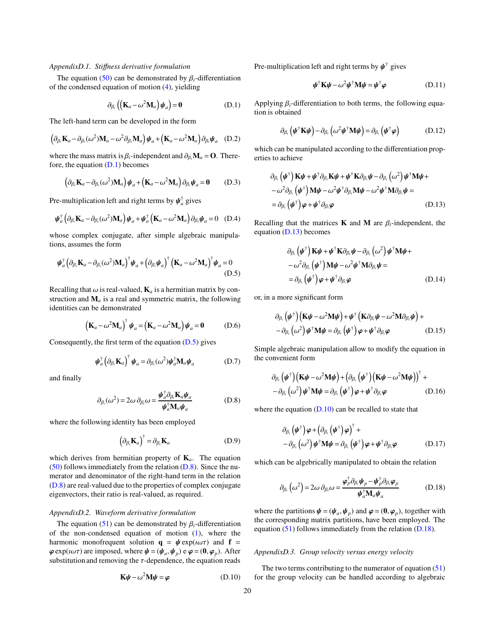## AppendixD.1. Stiffness derivative formulation

The equation (50) can be demonstrated by  $\beta_i$ -differentiation of the condensed equation of motion  $(4)$ , yielding

$$
\partial_{\beta_i} \left( \left( \mathbf{K}_a - \omega^2 \mathbf{M}_a \right) \boldsymbol{\psi}_a \right) = \mathbf{0} \tag{D.1}
$$

The left-hand term can be developed in the form

$$
(\partial_{\beta_i} \mathbf{K}_a - \partial_{\beta_i} (\omega^2) \mathbf{M}_a - \omega^2 \partial_{\beta_i} \mathbf{M}_a) \psi_a + (\mathbf{K}_a - \omega^2 \mathbf{M}_a) \partial_{\beta_i} \psi_a \quad (D.2)
$$

where the mass matrix is  $\beta_i$ -independent and  $\partial_{\beta_i} M_a = 0$ . Therefore, the equation  $(D.1)$  becomes

$$
(\partial_{\beta_i} \mathbf{K}_a - \partial_{\beta_i} (\omega^2) \mathbf{M}_a) \psi_a + (\mathbf{K}_a - \omega^2 \mathbf{M}_a) \partial_{\beta_i} \psi_a = \mathbf{0} \tag{D.3}
$$

Pre-multiplication left and right terms by  $\psi_a^{\dagger}$  gives

$$
\boldsymbol{\psi}_a^{\dagger} \left( \partial_{\beta_i} \mathbf{K}_a - \partial_{\beta_i} (\omega^2) \mathbf{M}_a \right) \boldsymbol{\psi}_a + \boldsymbol{\psi}_a^{\dagger} \left( \mathbf{K}_a - \omega^2 \mathbf{M}_a \right) \partial_{\beta_i} \boldsymbol{\psi}_a = 0 \quad (D.4)
$$

whose complex conjugate, after simple algebraic manipulations, assumes the form

$$
\boldsymbol{\psi}_a^{\dagger} \left( \partial_{\beta_i} \mathbf{K}_a - \partial_{\beta_i} (\omega^2) \mathbf{M}_a \right)^{\dagger} \boldsymbol{\psi}_a + \left( \partial_{\beta_i} \boldsymbol{\psi}_a \right)^{\dagger} \left( \mathbf{K}_a - \omega^2 \mathbf{M}_a \right)^{\dagger} \boldsymbol{\psi}_a = 0
$$
\n(D.5)

Recalling that  $\omega$  is real-valued,  $\mathbf{K}_a$  is a hermitian matrix by construction and  $M_a$  is a real and symmetric matrix, the following identities can be demonstrated

$$
\left(\mathbf{K}_a - \omega^2 \mathbf{M}_a\right)^{\dagger} \boldsymbol{\psi}_a = \left(\mathbf{K}_a - \omega^2 \mathbf{M}_a\right) \boldsymbol{\psi}_a = \mathbf{0} \tag{D.6}
$$

Consequently, the first term of the equation  $(D.5)$  gives

$$
\boldsymbol{\psi}_a^{\dagger} \left( \partial_{\beta_i} \mathbf{K}_a \right)^{\dagger} \boldsymbol{\psi}_a = \partial_{\beta_i} (\omega^2) \boldsymbol{\psi}_a^{\dagger} \mathbf{M}_a \boldsymbol{\psi}_a \tag{D.7}
$$

and finally

$$
\partial_{\beta_i}(\omega^2) = 2\omega \, \partial_{\beta_i} \omega = \frac{\psi_a^{\dagger} \partial_{\beta_i} \mathbf{K}_a \psi_a}{\psi_a^{\dagger} \mathbf{M}_a \psi_a}
$$
(D.8)

where the following identity has been employed

$$
\left(\partial_{\beta_i} \mathbf{K}_a\right)^{\dagger} = \partial_{\beta_i} \mathbf{K}_a \tag{D.9}
$$

which derives from hermitian property of  $K_a$ . The equation  $(50)$  follows immediately from the relation  $(D.8)$ . Since the numerator and denominator of the right-hand term in the relation (D.8) are real-valued due to the properties of complex conjugate eigenvectors, their ratio is real-valued, as required.

#### AppendixD.2. Waveform derivative formulation

The equation (51) can be demonstrated by  $\beta_i$ -differentiation of the non-condensed equation of motion  $(1)$ , where the harmonic monofrequent solution  $\mathbf{q} = \mathbf{\psi} \exp(i \omega \tau)$  and  $\mathbf{f} =$  $\varphi \exp(i\omega \tau)$  are imposed, where  $\psi = (\psi_a, \psi_p)$  e  $\varphi = (0, \varphi_p)$ . After substitution and removing the  $\tau$ -dependence, the equation reads

$$
\mathbf{K}\boldsymbol{\psi} - \omega^2 \mathbf{M}\boldsymbol{\psi} = \boldsymbol{\varphi}
$$
 (D.10)

Pre-multiplication left and right terms by  $\psi^{\dagger}$  gives

$$
\psi^{\dagger} \mathbf{K} \psi - \omega^2 \psi^{\dagger} \mathbf{M} \psi = \psi^{\dagger} \varphi
$$
 (D.11)

Applying  $\beta_i$ -differentiation to both terms, the following equation is obtained

$$
\partial_{\beta_i} (\boldsymbol{\psi}^\dagger \mathbf{K} \boldsymbol{\psi}) - \partial_{\beta_i} (\omega^2 \boldsymbol{\psi}^\dagger \mathbf{M} \boldsymbol{\psi}) = \partial_{\beta_i} (\boldsymbol{\psi}^\dagger \boldsymbol{\varphi})
$$
 (D.12)

which can be manipulated according to the differentiation properties to achieve

$$
\partial_{\beta_i} (\psi^{\dagger}) \mathbf{K} \psi + \psi^{\dagger} \partial_{\beta_i} \mathbf{K} \psi + \psi^{\dagger} \mathbf{K} \partial_{\beta_i} \psi - \partial_{\beta_i} (\omega^2) \psi^{\dagger} \mathbf{M} \psi + \n- \omega^2 \partial_{\beta_i} (\psi^{\dagger}) \mathbf{M} \psi - \omega^2 \psi^{\dagger} \partial_{\beta_i} \mathbf{M} \psi - \omega^2 \psi^{\dagger} \mathbf{M} \partial_{\beta_i} \psi = \n= \partial_{\beta_i} (\psi^{\dagger}) \varphi + \psi^{\dagger} \partial_{\beta_i} \varphi
$$
\n(D.13)

Recalling that the matrices **K** and **M** are  $\beta_i$ -independent, the equation (D.13) becomes

$$
\partial_{\beta_i} (\psi^{\dagger}) \mathbf{K} \psi + \psi^{\dagger} \mathbf{K} \partial_{\beta_i} \psi - \partial_{\beta_i} (\omega^2) \psi^{\dagger} \mathbf{M} \psi + \n- \omega^2 \partial_{\beta_i} (\psi^{\dagger}) \mathbf{M} \psi - \omega^2 \psi^{\dagger} \mathbf{M} \partial_{\beta_i} \psi = \n= \partial_{\beta_i} (\psi^{\dagger}) \varphi + \psi^{\dagger} \partial_{\beta_i} \varphi
$$
\n(D.14)

or, in a more significant form

$$
\partial_{\beta_i} (\psi^{\dagger}) (\mathbf{K} \psi - \omega^2 \mathbf{M} \psi) + \psi^{\dagger} (\mathbf{K} \partial_{\beta_i} \psi - \omega^2 \mathbf{M} \partial_{\beta_i} \psi) + - \partial_{\beta_i} (\omega^2) \psi^{\dagger} \mathbf{M} \psi = \partial_{\beta_i} (\psi^{\dagger}) \varphi + \psi^{\dagger} \partial_{\beta_i} \varphi
$$
 (D.15)

Simple algebraic manipulation allow to modify the equation in the convenient form

$$
\partial_{\beta_i} (\psi^{\dagger}) (\mathbf{K} \psi - \omega^2 \mathbf{M} \psi) + (\partial_{\beta_i} (\psi^{\dagger}) (\mathbf{K} \psi - \omega^2 \mathbf{M} \psi))^{\top} + \n- \partial_{\beta_i} (\omega^2) \psi^{\dagger} \mathbf{M} \psi = \partial_{\beta_i} (\psi^{\dagger}) \varphi + \psi^{\dagger} \partial_{\beta_i} \varphi
$$
\n(D.16)

where the equation  $(D.10)$  can be recalled to state that

$$
\partial_{\beta_i} (\boldsymbol{\psi}^{\dagger}) \boldsymbol{\varphi} + (\partial_{\beta_i} (\boldsymbol{\psi}^{\dagger}) \boldsymbol{\varphi})^{\top} + \n- \partial_{\beta_i} (\omega^2) \boldsymbol{\psi}^{\dagger} \mathbf{M} \boldsymbol{\psi} = \partial_{\beta_i} (\boldsymbol{\psi}^{\dagger}) \boldsymbol{\varphi} + \boldsymbol{\psi}^{\dagger} \partial_{\beta_i} \boldsymbol{\varphi}
$$
\n(D.17)

which can be algebrically manipulated to obtain the relation

$$
\partial_{\beta_i} \left( \omega^2 \right) = 2\omega \, \partial_{\beta_i} \omega = \frac{\varphi_p^{\dagger} \partial_{\beta_i} \psi_p - \psi_p^{\dagger} \partial_{\beta_i} \varphi_p}{\psi_a^{\dagger} M_a \psi_a} \tag{D.18}
$$

where the partitions  $\psi = (\psi_a, \psi_p)$  and  $\varphi = (0, \varphi_p)$ , together with the corresponding matrix partitions, have been employed. The equation (51) follows immediately from the relation (D.18).

#### AppendixD.3. Group velocity versus energy velocity

The two terms contributing to the numerator of equation  $(51)$ for the group velocity can be handled according to algebraic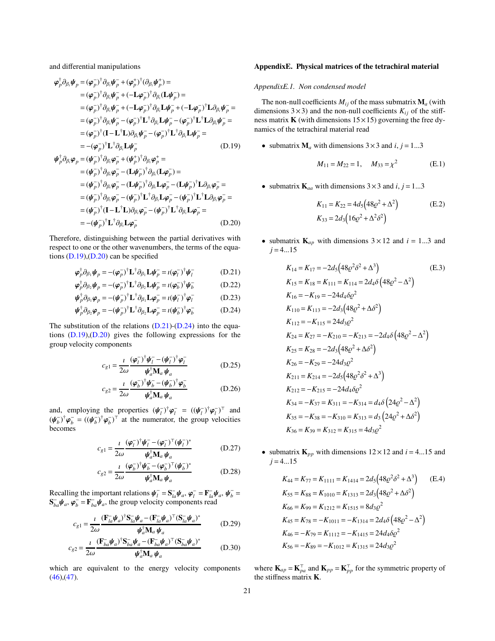and differential manipulations

$$
\varphi_{p}^{\dagger}\partial_{\beta_{i}}\psi_{p} = (\varphi_{p}^{-})^{\dagger}\partial_{\beta_{i}}\psi_{p}^{-} + (\varphi_{p}^{+})^{\dagger}(\partial_{\beta_{i}}\psi_{p}^{+}) =
$$
\n
$$
= (\varphi_{p}^{-})^{\dagger}\partial_{\beta_{i}}\psi_{p}^{-} + (-L\varphi_{p}^{-})^{\dagger}\partial_{\beta_{i}}(L\psi_{p}^{-}) =
$$
\n
$$
= (\varphi_{p}^{-})^{\dagger}\partial_{\beta_{i}}\psi_{p}^{-} + (-L\varphi_{p}^{-})^{\dagger}\partial_{\beta_{i}}L\psi_{p}^{-} + (-L\varphi_{p}^{-})^{\dagger}L\partial_{\beta_{i}}\psi_{p}^{-} =
$$
\n
$$
= (\varphi_{p}^{-})^{\dagger}\partial_{\beta_{i}}\psi_{p}^{-} - (\varphi_{p}^{-})^{\dagger}L^{\dagger}\partial_{\beta_{i}}L\psi_{p}^{-} - (\varphi_{p}^{-})^{\dagger}L^{\dagger}L\partial_{\beta_{i}}\psi_{p}^{-} =
$$
\n
$$
= (\varphi_{p}^{-})^{\dagger}(I - L^{\dagger}L)\partial_{\beta_{i}}\psi_{p}^{-} - (\varphi_{p}^{-})^{\dagger}L^{\dagger}\partial_{\beta_{i}}L\psi_{p}^{-} =
$$
\n
$$
= -(\varphi_{p}^{-})^{\dagger}L^{\dagger}\partial_{\beta_{i}}L\psi_{p}^{-} - (\varphi_{p}^{-})^{\dagger}L^{\dagger}\partial_{\beta_{i}}L\psi_{p}^{-} =
$$
\n
$$
\psi_{p}^{\dagger}\partial_{\beta_{i}}\varphi_{p} = (\psi_{p}^{-})^{\dagger}\partial_{\beta_{i}}\varphi_{p}^{-} + (\psi_{p}^{+})^{\dagger}\partial_{\beta_{i}}(\varphi_{p}^{-}) =
$$
\n
$$
= (\psi_{p}^{-})^{\dagger}\partial_{\beta_{i}}\varphi_{p}^{-} - (L\psi_{p}^{-})^{\dagger}\partial_{\beta_{i}}L\varphi_{p}^{-} - (L\psi_{p}^{-})^{\dagger}L\partial_{\beta_{i}}\varphi_{p}^{-} =
$$
\n
$$
= (\psi_{p}^{-})^{\dagger}\partial_{\beta_{i}}\varphi_{p}
$$

$$
= (\psi_p^-)^{\dagger} \partial_{\beta_1} \varphi_p^- - (\psi_p^-)^{\dagger} \mathbf{L}^{\dagger} \partial_{\beta_1} \mathbf{L} \varphi_p^- - (\psi_p^-)^{\dagger} \mathbf{L}^{\dagger} \mathbf{L} \partial_{\beta_1} \varphi_p^- =
$$
  
\n
$$
= (\psi_p^-)^{\dagger} (\mathbf{I} - \mathbf{L}^{\dagger} \mathbf{L}) \partial_{\beta_1} \varphi_p^- - (\psi_p^-)^{\dagger} \mathbf{L}^{\dagger} \partial_{\beta_1} \mathbf{L} \varphi_p^- =
$$
  
\n
$$
= -(\psi_p^-)^{\dagger} \mathbf{L}^{\dagger} \partial_{\beta_1} \mathbf{L} \varphi_p^-
$$
 (D.20)

Therefore, distinguishing between the partial derivatives with respect to one or the other wavenumbers, the terms of the equations (D.19),(D.20) can be specified

$$
\boldsymbol{\varphi}_p^{\dagger} \partial_{\beta_1} \boldsymbol{\psi}_p = -(\boldsymbol{\varphi}_p^{-})^{\dagger} \mathbf{L}^{\dagger} \partial_{\beta_1} \mathbf{L} \boldsymbol{\psi}_p^{-} = \imath(\boldsymbol{\varphi}_l^{-})^{\dagger} \boldsymbol{\psi}_l^{-} \tag{D.21}
$$

$$
\boldsymbol{\varphi}_p^{\dagger} \partial_{\beta_2} \boldsymbol{\psi}_p = -(\boldsymbol{\varphi}_p^{-})^{\dagger} \mathbf{L}^{\dagger} \partial_{\beta_2} \mathbf{L} \boldsymbol{\psi}_p^{-} = \iota(\boldsymbol{\varphi}_b^{-})^{\dagger} \boldsymbol{\psi}_b^{-}
$$
(D.22)

$$
\boldsymbol{\psi}_{p}^{\dagger} \partial_{\beta_{1}} \boldsymbol{\varphi}_{p} = -(\boldsymbol{\psi}_{p}^{-})^{\dagger} \mathbf{L}^{\dagger} \partial_{\beta_{1}} \mathbf{L} \boldsymbol{\varphi}_{p}^{-} = \boldsymbol{\iota}(\boldsymbol{\psi}_{l}^{-})^{\dagger} \boldsymbol{\varphi}_{l}^{-} \tag{D.23}
$$

$$
\boldsymbol{\psi}_p^{\dagger} \partial_{\beta_2} \boldsymbol{\varphi}_p = -(\boldsymbol{\psi}_p^{-})^{\dagger} \mathbf{L}^{\dagger} \partial_{\beta_2} \mathbf{L} \boldsymbol{\varphi}_p^{-} = \imath (\boldsymbol{\psi}_b^{-})^{\dagger} \boldsymbol{\varphi}_b^{-} \tag{D.24}
$$

The substitution of the relations  $(D.21)-(D.24)$  into the equations (D.19),(D.20) gives the following expressions for the group velocity components

$$
c_{g1} = \frac{i}{2\omega} \frac{(\varphi_l^-)^\dagger \psi_l^- - (\psi_l^-)^\dagger \varphi_l^-}{\psi_a^{\dagger} \mathbf{M}_a \psi_a}
$$
 (D.25)

$$
c_{g2} = \frac{i}{2\omega} \frac{(\varphi_b^-)^{\dagger} \psi_b^- - (\psi_b^-)^{\dagger} \varphi_b^-}{\psi_a^{\dagger} M_a \psi_a}
$$
 (D.26)

and, employing the properties  $(\psi_l^-)^{\dagger} \varphi_l^- = ((\psi_l^-)^{\dagger} \varphi_l^-)^{\dagger}$  and  $(\psi_b^-)^{\dagger} \varphi_b^- = ((\psi_b^-)^{\dagger} \varphi_b^-)^{\dagger}$  at the numerator, the group velocities becomes

$$
c_{g1} = \frac{i}{2\omega} \frac{(\boldsymbol{\varphi}_l^{-})^{\dagger} \boldsymbol{\psi}_l^{-} - (\boldsymbol{\varphi}_l^{-})^{\top} (\boldsymbol{\psi}_l^{-})^*}{\boldsymbol{\psi}_a^{\dagger} \mathbf{M}_a \boldsymbol{\psi}_a}
$$
(D.27)

$$
c_{g2} = \frac{i}{2\omega} \frac{(\varphi_b^-)^{\dagger} \psi_b^- - (\varphi_b^-)^{\dagger} (\psi_b^-)^*}{\psi_a^{\dagger} \mathbf{M}_a \psi_a}
$$
(D.28)

Recalling the important relations  $\psi_l^- = S_{la}^- \psi_a$ ,  $\varphi_l^- = F_{la}^- \psi_a$ ,  $\psi_b^- =$  $\mathbf{S}_{ba}^- \boldsymbol{\psi}_a, \boldsymbol{\varphi}_b^- = \mathbf{F}_{ba}^- \boldsymbol{\psi}_a$ , the group velocity components read

$$
c_{g1} = \frac{i}{2\omega} \frac{(\mathbf{F}_{la}^{-}\mathbf{\psi}_{a})^{\dagger} \mathbf{S}_{la}^{-} \mathbf{\psi}_{a} - (\mathbf{F}_{la}^{-}\mathbf{\psi}_{a})^{\top} (\mathbf{S}_{la}^{-}\mathbf{\psi}_{a})^{*}}{\mathbf{\psi}_{a}^{\dagger} \mathbf{M}_{a} \mathbf{\psi}_{a}}
$$
(D.29)

$$
c_{g2} = \frac{i}{2\omega} \frac{(\mathbf{F}_{ba}^{-} \boldsymbol{\psi}_a)^{\dagger} \mathbf{S}_{ba}^{-} \boldsymbol{\psi}_a - (\mathbf{F}_{ba}^{-} \boldsymbol{\psi}_a)^{\top} (\mathbf{S}_{ba}^{-} \boldsymbol{\psi}_a)^{*}}{\boldsymbol{\psi}_a^{\dagger} \mathbf{M}_a \boldsymbol{\psi}_a}
$$
(D.30)

which are equivalent to the energy velocity components  $(46)$ , $(47)$ .

## AppendixE. Physical matrices of the tetrachiral material

#### AppendixE.1. Non condensed model

The non-null coefficients  $M_{ij}$  of the mass submatrix  $\mathbf{M}_a$  (with dimensions  $3\times3$ ) and the non-null coefficients  $K_{ij}$  of the stiffness matrix **K** (with dimensions  $15 \times 15$ ) governing the free dynamics of the tetrachiral material read

• submatrix  $M_a$  with dimensions  $3 \times 3$  and  $i, j = 1...3$ 

$$
M_{11} = M_{22} = 1
$$
,  $M_{33} = \chi^2$  (E.1)

• submatrix  $\mathbf{K}_{aa}$  with dimensions 3 × 3 and *i*, *j* = 1...3

$$
K_{11} = K_{22} = 4d_5(48\varrho^2 + \Delta^2)
$$
 (E.2)  

$$
K_{33} = 2d_3(16\varrho^2 + \Delta^2 \delta^2)
$$

• submatrix  $\mathbf{K}_{ap}$  with dimensions  $3 \times 12$  and  $i = 1...3$  and  $j = 4...15$ 

$$
K_{14} = K_{17} = -2d_5(48e^2\delta^2 + \Delta^3)
$$
(E.3)  
\n
$$
K_{15} = K_{18} = K_{111} = K_{114} = 2d_4\delta (48e^2 - \Delta^2)
$$
  
\n
$$
K_{16} = -K_{19} = -24d_4\delta e^2
$$
  
\n
$$
K_{110} = K_{113} = -2d_3(48e^2 + \Delta\delta^2)
$$
  
\n
$$
K_{112} = -K_{115} = 24d_3e^2
$$
  
\n
$$
K_{24} = K_{27} = -K_{210} = -K_{213} = -2d_4\delta (48e^2 - \Delta^2)
$$
  
\n
$$
K_{25} = K_{28} = -2d_3(48e^2 + \Delta\delta^2)
$$
  
\n
$$
K_{26} = -K_{29} = -24d_3e^2
$$
  
\n
$$
K_{211} = K_{214} = -2d_5(48e^2\delta^2 + \Delta^3)
$$
  
\n
$$
K_{212} = -K_{215} = -24d_4\delta e^2
$$
  
\n
$$
K_{34} = -K_{37} = K_{311} = -K_{314} = d_4\delta (24e^2 - \Delta^2)
$$
  
\n
$$
K_{35} = -K_{38} = -K_{310} = K_{313} = d_3(24e^2 + \Delta\delta^2)
$$
  
\n
$$
K_{36} = K_{39} = K_{312} = K_{315} = 4d_3e^2
$$

• submatrix  $\mathbf{K}_{pp}$  with dimensions  $12 \times 12$  and  $i = 4...15$  and  $j = 4...15$ 

$$
K_{44} = K_{77} = K_{1111} = K_{1414} = 2d_5(48\varrho^2\delta^2 + \Delta^3)
$$
 (E.4)  
\n
$$
K_{55} = K_{88} = K_{1010} = K_{1313} = 2d_3(48\varrho^2 + \Delta\delta^2)
$$
  
\n
$$
K_{66} = K_{99} = K_{1212} = K_{1515} = 8d_3\varrho^2
$$
  
\n
$$
K_{45} = K_{78} = -K_{1011} = -K_{1314} = 2d_4\delta(48\varrho^2 - \Delta^2)
$$
  
\n
$$
K_{46} = -K_{79} = K_{1112} = -K_{1415} = 24d_4\delta\varrho^2
$$
  
\n
$$
K_{56} = -K_{89} = -K_{1012} = K_{1315} = 24d_3\varrho^2
$$

where  $\mathbf{K}_{ap} = \mathbf{K}_{pa}^{\top}$  and  $\mathbf{K}_{pp} = \mathbf{K}_{pp}^{\top}$  for the symmetric property of the stiffness matrix K.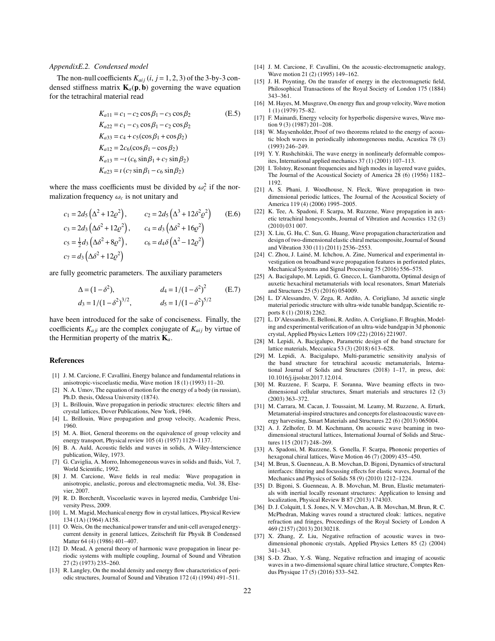## AppendixE.2. Condensed model

The non-null coefficients  $K_{aij}$  (i, j = 1, 2, 3) of the 3-by-3 condensed stiffness matrix  $\mathbf{K}_a(\mathbf{p}, \mathbf{b})$  governing the wave equation for the tetrachiral material read

$$
K_{a11} = c_1 - c_2 \cos \beta_1 - c_3 \cos \beta_2
$$
(E.5)  
\n
$$
K_{a22} = c_1 - c_3 \cos \beta_1 - c_2 \cos \beta_2
$$
  
\n
$$
K_{a33} = c_4 + c_5(\cos \beta_1 + \cos \beta_2)
$$
  
\n
$$
K_{a12} = 2c_6(\cos \beta_1 - \cos \beta_2)
$$
  
\n
$$
K_{a13} = -\iota (c_6 \sin \beta_1 + c_7 \sin \beta_2)
$$
  
\n
$$
K_{a23} = \iota (c_7 \sin \beta_1 - c_6 \sin \beta_2)
$$

where the mass coefficients must be divided by  $\omega_c^2$  if the normalization frequency  $\omega_c$  is not unitary and

$$
c_1 = 2d_5(\Delta^2 + 12\varrho^2), \qquad c_2 = 2d_5(\Delta^3 + 12\delta^2\varrho^2) \qquad (E.6)
$$
  
\n
$$
c_3 = 2d_3(\Delta\delta^2 + 12\varrho^2), \qquad c_4 = d_3(\Delta\delta^2 + 16\varrho^2)
$$
  
\n
$$
c_5 = \frac{1}{2}d_3(\Delta\delta^2 + 8\varrho^2), \qquad c_6 = d_4\delta(\Delta^2 - 12\varrho^2)
$$
  
\n
$$
c_7 = d_3(\Delta\delta^2 + 12\varrho^2)
$$

are fully geometric parameters. The auxiliary parameters

$$
\Delta = (1 - \delta^2), \qquad d_4 = 1/(1 - \delta^2)^2 \qquad (E.7)
$$
  
\n
$$
d_3 = 1/(1 - \delta^2)^{3/2}, \qquad d_5 = 1/(1 - \delta^2)^{5/2}
$$

have been introduced for the sake of conciseness. Finally, the coefficients  $K_{aji}$  are the complex conjugate of  $K_{aij}$  by virtue of the Hermitian property of the matrix  $\mathbf{K}_a$ .

#### References

- [1] J. M. Carcione, F. Cavallini, Energy balance and fundamental relations in anisotropic-viscoelastic media, Wave motion 18 (1) (1993) 11–20.
- [2] N. A. Umov, The equation of motion for the energy of a body (in russian), Ph.D. thesis, Odessa University (1874).
- [3] L. Brillouin, Wave propagation in periodic structures: electric filters and crystal lattices, Dover Publications, New York, 1946.
- [4] L. Brillouin, Wave propagation and group velocity, Academic Press, 1960.
- [5] M. A. Biot, General theorems on the equivalence of group velocity and energy transport, Physical review 105 (4) (1957) 1129–1137.
- [6] B. A. Auld, Acoustic fields and waves in solids, A Wiley-Interscience publication, Wiley, 1973.
- [7] G. Caviglia, A. Morro, Inhomogeneous waves in solids and fluids, Vol. 7, World Scientific, 1992.
- [8] J. M. Carcione, Wave fields in real media: Wave propagation in anisotropic, anelastic, porous and electromagnetic media, Vol. 38, Elsevier, 2007.
- [9] R. D. Borcherdt, Viscoelastic waves in layered media, Cambridge University Press, 2009.
- [10] L. M. Magid, Mechanical energy flow in crystal lattices, Physical Review 134 (1A) (1964) A158.
- [11] O. Weis, On the mechanical power transfer and unit-cell averaged energycurrent density in general lattices, Zeitschrift für Physik B Condensed Matter 64 (4) (1986) 401–407.
- [12] D. Mead, A general theory of harmonic wave propagation in linear periodic systems with multiple coupling, Journal of Sound and Vibration 27 (2) (1973) 235–260.
- [13] R. Langley, On the modal density and energy flow characteristics of periodic structures, Journal of Sound and Vibration 172 (4) (1994) 491–511.
- [14] J. M. Carcione, F. Cavallini, On the acoustic-electromagnetic analogy, Wave motion 21 (2) (1995) 149–162.
- [15] J. H. Poynting, On the transfer of energy in the electromagnetic field, Philosophical Transactions of the Royal Society of London 175 (1884) 343–361.
- [16] M. Hayes, M. Musgrave, On energy flux and group velocity, Wave motion 1 (1) (1979) 75–82.
- [17] F. Mainardi, Energy velocity for hyperbolic dispersive waves, Wave motion 9 (3) (1987) 201–208.
- [18] W. Maysenholder, Proof of two theorems related to the energy of acoustic bloch waves in periodically inhomogeneous media, Acustica 78 (3) (1993) 246–249.
- [19] Y. Y. Rushchitskii, The wave energy in nonlinearly deformable composites, International applied mechanics 37 (1) (2001) 107–113.
- [20] I. Tolstoy, Resonant frequencies and high modes in layered wave guides, The Journal of the Acoustical Society of America 28 (6) (1956) 1182– 1192.
- [21] A. S. Phani, J. Woodhouse, N. Fleck, Wave propagation in twodimensional periodic lattices, The Journal of the Acoustical Society of America 119 (4) (2006) 1995–2005.
- [22] K. Tee, A. Spadoni, F. Scarpa, M. Ruzzene, Wave propagation in auxetic tetrachiral honeycombs, Journal of Vibration and Acoustics 132 (3) (2010) 031 007.
- [23] X. Liu, G. Hu, C. Sun, G. Huang, Wave propagation characterization and design of two-dimensional elastic chiral metacomposite, Journal of Sound and Vibration 330 (11) (2011) 2536–2553.
- [24] C. Zhou, J. Lainé, M. Ichchou, A. Zine, Numerical and experimental investigation on broadband wave propagation features in perforated plates, Mechanical Systems and Signal Processing 75 (2016) 556–575.
- [25] A. Bacigalupo, M. Lepidi, G. Gnecco, L. Gambarotta, Optimal design of auxetic hexachiral metamaterials with local resonators, Smart Materials and Structures 25 (5) (2016) 054009.
- [26] L. D'Alessandro, V. Zega, R. Ardito, A. Corigliano, 3d auxetic single material periodic structure with ultra-wide tunable bandgap, Scientific reports 8 (1) (2018) 2262.
- [27] L. D'Alessandro, E. Belloni, R. Ardito, A. Corigliano, F. Braghin, Modeling and experimental verification of an ultra-wide bandgapin 3d phononic crystal, Applied Physics Letters 109 (22) (2016) 221907.
- [28] M. Lepidi, A. Bacigalupo, Parametric design of the band structure for lattice materials, Meccanica 53 (3) (2018) 613–628.
- [29] M. Lepidi, A. Bacigalupo, Multi-parametric sensitivity analysis of the band structure for tetrachiral acoustic metamaterials, International Journal of Solids and Structures (2018) 1–17, in press, doi: 10.1016/j.ijsolstr.2017.12.014.
- [30] M. Ruzzene, F. Scarpa, F. Soranna, Wave beaming effects in twodimensional cellular structures, Smart materials and structures 12 (3) (2003) 363–372.
- [31] M. Carrara, M. Cacan, J. Toussaint, M. Leamy, M. Ruzzene, A. Erturk, Metamaterial-inspired structures and concepts for elastoacoustic wave energy harvesting, Smart Materials and Structures 22 (6) (2013) 065004.
- [32] A. J. Zelhofer, D. M. Kochmann, On acoustic wave beaming in twodimensional structural lattices, International Journal of Solids and Structures 115 (2017) 248–269.
- [33] A. Spadoni, M. Ruzzene, S. Gonella, F. Scarpa, Phononic properties of hexagonal chiral lattices, Wave Motion 46 (7) (2009) 435–450.
- [34] M. Brun, S. Guenneau, A. B. Movchan, D. Bigoni, Dynamics of structural interfaces: filtering and focussing effects for elastic waves, Journal of the Mechanics and Physics of Solids 58 (9) (2010) 1212–1224.
- [35] D. Bigoni, S. Guenneau, A. B. Movchan, M. Brun, Elastic metamaterials with inertial locally resonant structures: Application to lensing and localization, Physical Review B 87 (2013) 174303.
- [36] D. J. Colquitt, I. S. Jones, N. V. Movchan, A. B. Movchan, M. Brun, R. C. McPhedran, Making waves round a structured cloak: lattices, negative refraction and fringes, Proceedings of the Royal Society of London A 469 (2157) (2013) 20130218.
- [37] X. Zhang, Z. Liu, Negative refraction of acoustic waves in twodimensional phononic crystals, Applied Physics Letters 85 (2) (2004) 341–343.
- [38] S.-D. Zhao, Y.-S. Wang, Negative refraction and imaging of acoustic waves in a two-dimensional square chiral lattice structure, Comptes Rendus Physique 17 (5) (2016) 533–542.